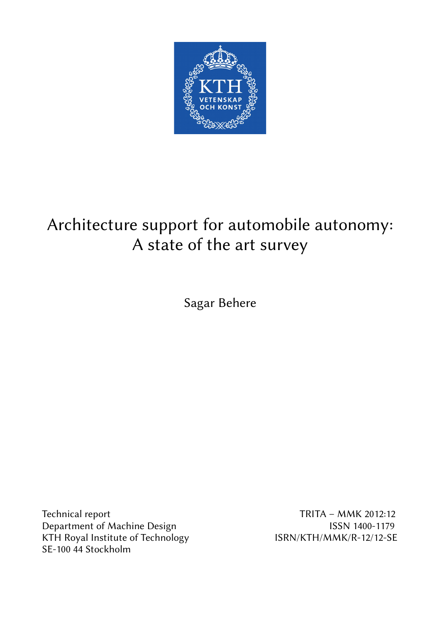

# Architecture support for automobile autonomy: A state of the art survey

Sagar Behere

Technical report TRITA – MMK 2012:12 Department of Machine Design **ISSN 1400-1179** KTH Royal Institute of Technology ISRN/KTH/MMK/R-12/12-SE SE-100 44 Stockholm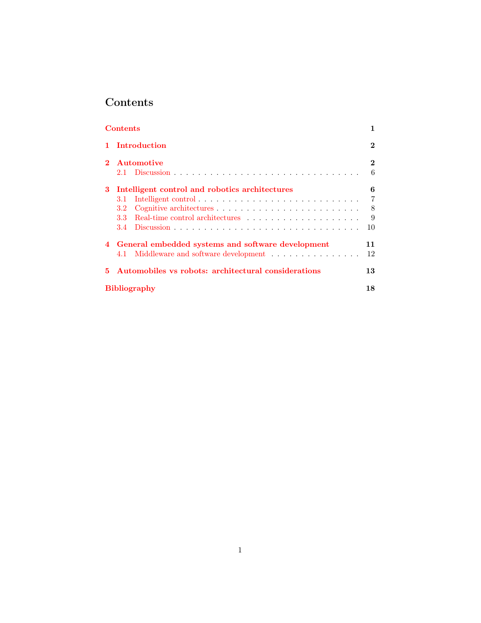# <span id="page-1-0"></span>Contents

| <b>Contents</b> |                                                     |          |
|-----------------|-----------------------------------------------------|----------|
|                 | Introduction                                        | $\bf{2}$ |
| $\mathbf{2}$    | Automotive                                          | $\bf{2}$ |
|                 |                                                     | 6        |
| 3               | Intelligent control and robotics architectures      | 6        |
|                 | 3.1                                                 | 7        |
|                 | 3.2                                                 | -8       |
|                 | 3.3 <sub>1</sub>                                    | 9        |
|                 |                                                     | 10       |
|                 | 4 General embedded systems and software development | 11       |
|                 | 4.1 Middleware and software development             | 12       |
|                 | Automobiles vs robots: architectural considerations | 13       |
|                 | <b>Bibliography</b>                                 |          |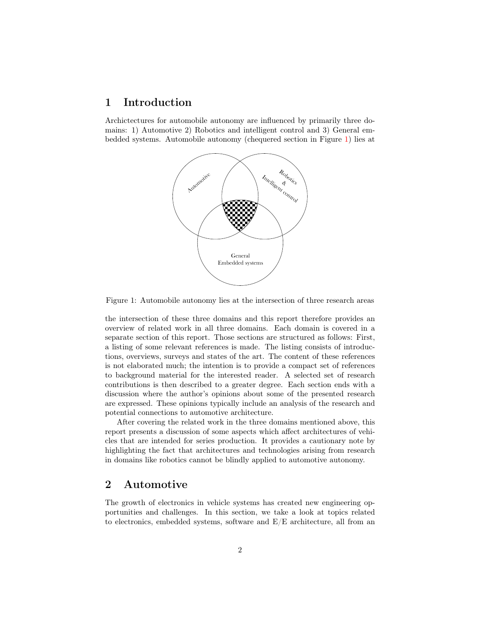### <span id="page-2-0"></span>1 Introduction

Archictectures for automobile autonomy are influenced by primarily three domains: 1) Automotive 2) Robotics and intelligent control and 3) General embedded systems. Automobile autonomy (chequered section in Figure [1\)](#page-2-2) lies at



<span id="page-2-2"></span>Figure 1: Automobile autonomy lies at the intersection of three research areas

the intersection of these three domains and this report therefore provides an overview of related work in all three domains. Each domain is covered in a separate section of this report. Those sections are structured as follows: First, a listing of some relevant references is made. The listing consists of introductions, overviews, surveys and states of the art. The content of these references is not elaborated much; the intention is to provide a compact set of references to background material for the interested reader. A selected set of research contributions is then described to a greater degree. Each section ends with a discussion where the author's opinions about some of the presented research are expressed. These opinions typically include an analysis of the research and potential connections to automotive architecture.

After covering the related work in the three domains mentioned above, this report presents a discussion of some aspects which affect architectures of vehicles that are intended for series production. It provides a cautionary note by highlighting the fact that architectures and technologies arising from research in domains like robotics cannot be blindly applied to automotive autonomy.

## <span id="page-2-1"></span>2 Automotive

The growth of electronics in vehicle systems has created new engineering opportunities and challenges. In this section, we take a look at topics related to electronics, embedded systems, software and E/E architecture, all from an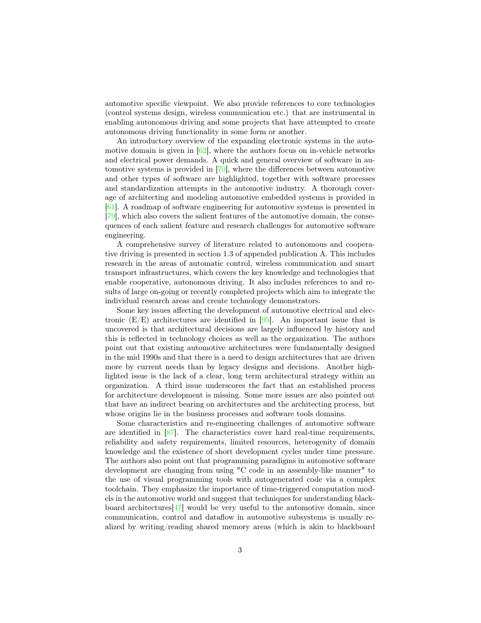automotive specific viewpoint. We also provide references to core technologies (control systems design, wireless communication etc.) that are instrumental in enabling autonomous driving and some projects that have attempted to create autonomous driving functionality in some form or another.

An introductory overview of the expanding electronic systems in the automotive domain is given in [\[62\]](#page-23-0), where the authors focus on in-vehicle networks and electrical power demands. A quick and general overview of software in automotive systems is provided in [\[70\]](#page-24-0), where the differences between automotive and other types of software are highlighted, together with software processes and standardization attempts in the automotive industry. A thorough coverage of architecting and modeling automotive embedded systems is provided in [\[61\]](#page-23-1). A roadmap of software engineering for automotive systems is presented in [\[79\]](#page-25-0), which also covers the salient features of the automotive domain, the consequences of each salient feature and research challenges for automotive software engineering.

A comprehensive survey of literature related to autonomous and cooperative driving is presented in section 1.3 of appended publication A. This includes research in the areas of automatic control, wireless communication and smart transport infrastructures, which covers the key knowledge and technologies that enable cooperative, autonomous driving. It also includes references to and results of large on-going or recently completed projects which aim to integrate the individual research areas and create technology demonstrators.

Some key issues affecting the development of automotive electrical and electronic  $(E/E)$  architectures are identified in [\[95\]](#page-27-0). An important issue that is uncovered is that architectural decisions are largely influenced by history and this is reflected in technology choices as well as the organization. The authors point out that existing automotive architectures were fundamentally designed in the mid 1990s and that there is a need to design architectures that are driven more by current needs than by legacy designs and decisions. Another highlighted issue is the lack of a clear, long term architectural strategy within an organization. A third issue underscores the fact that an established process for architecture development is missing. Some more issues are also pointed out that have an indirect bearing on architectures and the architecting process, but whose origins lie in the business processes and software tools domains.

Some characteristics and re-engineering challenges of automotive software are identified in [\[87\]](#page-26-0). The characteristics cover hard real-time requirements, reliability and safety requirements, limited resources, heterogenity of domain knowledge and the existence of short development cycles under time pressure. The authors also point out that programming paradigms in automotive software development are changing from using "C code in an assembly-like manner" to the use of visual programming tools with autogenerated code via a complex toolchain. They emphasize the importance of time-triggered computation models in the automotive world and suggest that techniques for understanding blackboard architectures  $\left[47\right]$  would be very useful to the automotive domain, since communication, control and dataflow in automotive subsystems is usually realized by writing/reading shared memory areas (which is akin to blackboard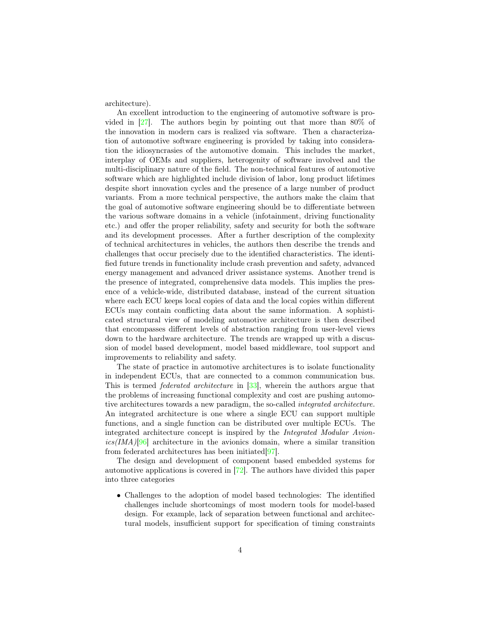architecture).

An excellent introduction to the engineering of automotive software is provided in [\[27\]](#page-20-0). The authors begin by pointing out that more than 80% of the innovation in modern cars is realized via software. Then a characterization of automotive software engineering is provided by taking into consideration the idiosyncrasies of the automotive domain. This includes the market, interplay of OEMs and suppliers, heterogenity of software involved and the multi-disciplinary nature of the field. The non-technical features of automotive software which are highlighted include division of labor, long product lifetimes despite short innovation cycles and the presence of a large number of product variants. From a more technical perspective, the authors make the claim that the goal of automotive software engineering should be to differentiate between the various software domains in a vehicle (infotainment, driving functionality etc.) and offer the proper reliability, safety and security for both the software and its development processes. After a further description of the complexity of technical architectures in vehicles, the authors then describe the trends and challenges that occur precisely due to the identified characteristics. The identified future trends in functionality include crash prevention and safety, advanced energy management and advanced driver assistance systems. Another trend is the presence of integrated, comprehensive data models. This implies the presence of a vehicle-wide, distributed database, instead of the current situation where each ECU keeps local copies of data and the local copies within different ECUs may contain conflicting data about the same information. A sophisticated structural view of modeling automotive architecture is then described that encompasses different levels of abstraction ranging from user-level views down to the hardware architecture. The trends are wrapped up with a discussion of model based development, model based middleware, tool support and improvements to reliability and safety.

The state of practice in automotive architectures is to isolate functionality in independent ECUs, that are connected to a common communication bus. This is termed federated architecture in [\[33\]](#page-20-1), wherein the authors argue that the problems of increasing functional complexity and cost are pushing automotive architectures towards a new paradigm, the so-called integrated architecture. An integrated architecture is one where a single ECU can support multiple functions, and a single function can be distributed over multiple ECUs. The integrated architecture concept is inspired by the Integrated Modular Avion- $ics/IMA)[96]$  $ics/IMA)[96]$  architecture in the avionics domain, where a similar transition from federated architectures has been initiated[\[97\]](#page-27-2).

The design and development of component based embedded systems for automotive applications is covered in [\[72\]](#page-24-1). The authors have divided this paper into three categories

• Challenges to the adoption of model based technologies: The identified challenges include shortcomings of most modern tools for model-based design. For example, lack of separation between functional and architectural models, insufficient support for specification of timing constraints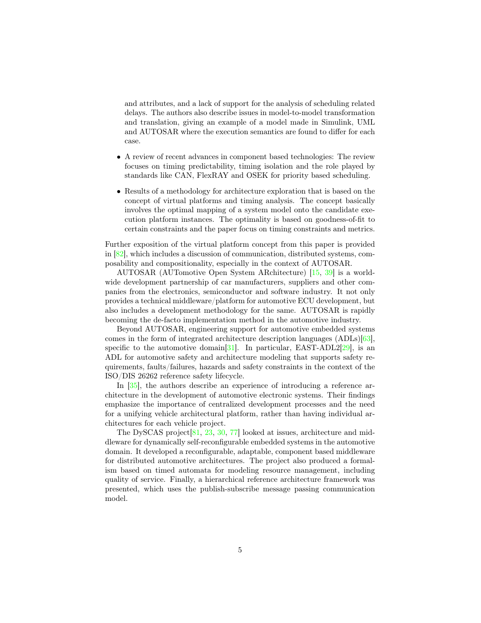and attributes, and a lack of support for the analysis of scheduling related delays. The authors also describe issues in model-to-model transformation and translation, giving an example of a model made in Simulink, UML and AUTOSAR where the execution semantics are found to differ for each case.

- A review of recent advances in component based technologies: The review focuses on timing predictability, timing isolation and the role played by standards like CAN, FlexRAY and OSEK for priority based scheduling.
- Results of a methodology for architecture exploration that is based on the concept of virtual platforms and timing analysis. The concept basically involves the optimal mapping of a system model onto the candidate execution platform instances. The optimality is based on goodness-of-fit to certain constraints and the paper focus on timing constraints and metrics.

Further exposition of the virtual platform concept from this paper is provided in  $[82]$ , which includes a discussion of communication, distributed systems, composability and compositionality, especially in the context of AUTOSAR.

AUTOSAR (AUTomotive Open System ARchitecture) [\[15,](#page-18-1) [39\]](#page-21-0) is a worldwide development partnership of car manufacturers, suppliers and other companies from the electronics, semiconductor and software industry. It not only provides a technical middleware/platform for automotive ECU development, but also includes a development methodology for the same. AUTOSAR is rapidly becoming the de-facto implementation method in the automotive industry.

Beyond AUTOSAR, engineering support for automotive embedded systems comes in the form of integrated architecture description languages (ADLs)[\[63\]](#page-23-2), specific to the automotive domain  $[31]$ . In particular, EAST-ADL2 $[29]$ , is an ADL for automotive safety and architecture modeling that supports safety requirements, faults/failures, hazards and safety constraints in the context of the ISO/DIS 26262 reference safety lifecycle.

In [\[35\]](#page-21-1), the authors describe an experience of introducing a reference architecture in the development of automotive electronic systems. Their findings emphasize the importance of centralized development processes and the need for a unifying vehicle architectural platform, rather than having individual architectures for each vehicle project.

The DySCAS project [\[81,](#page-25-2) [23,](#page-19-0) [30,](#page-20-4) [77\]](#page-25-3) looked at issues, architecture and middleware for dynamically self-reconfigurable embedded systems in the automotive domain. It developed a reconfigurable, adaptable, component based middleware for distributed automotive architectures. The project also produced a formalism based on timed automata for modeling resource management, including quality of service. Finally, a hierarchical reference architecture framework was presented, which uses the publish-subscribe message passing communication model.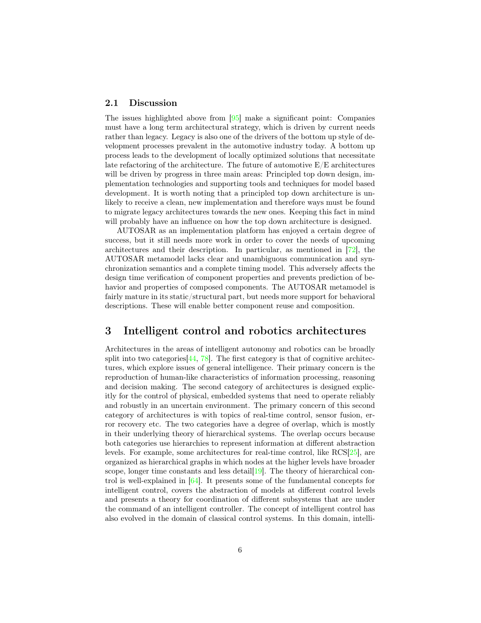#### <span id="page-6-0"></span>2.1 Discussion

The issues highlighted above from [\[95\]](#page-27-0) make a significant point: Companies must have a long term architectural strategy, which is driven by current needs rather than legacy. Legacy is also one of the drivers of the bottom up style of development processes prevalent in the automotive industry today. A bottom up process leads to the development of locally optimized solutions that necessitate late refactoring of the architecture. The future of automotive  $E/E$  architectures will be driven by progress in three main areas: Principled top down design, implementation technologies and supporting tools and techniques for model based development. It is worth noting that a principled top down architecture is unlikely to receive a clean, new implementation and therefore ways must be found to migrate legacy architectures towards the new ones. Keeping this fact in mind will probably have an influence on how the top down architecture is designed.

AUTOSAR as an implementation platform has enjoyed a certain degree of success, but it still needs more work in order to cover the needs of upcoming architectures and their description. In particular, as mentioned in [\[72\]](#page-24-1), the AUTOSAR metamodel lacks clear and unambiguous communication and synchronization semantics and a complete timing model. This adversely affects the design time verification of component properties and prevents prediction of behavior and properties of composed components. The AUTOSAR metamodel is fairly mature in its static/structural part, but needs more support for behavioral descriptions. These will enable better component reuse and composition.

### <span id="page-6-1"></span>3 Intelligent control and robotics architectures

Architectures in the areas of intelligent autonomy and robotics can be broadly split into two categories  $[44, 78]$  $[44, 78]$  $[44, 78]$ . The first category is that of cognitive architectures, which explore issues of general intelligence. Their primary concern is the reproduction of human-like characteristics of information processing, reasoning and decision making. The second category of architectures is designed explicitly for the control of physical, embedded systems that need to operate reliably and robustly in an uncertain environment. The primary concern of this second category of architectures is with topics of real-time control, sensor fusion, error recovery etc. The two categories have a degree of overlap, which is mostly in their underlying theory of hierarchical systems. The overlap occurs because both categories use hierarchies to represent information at different abstraction levels. For example, some architectures for real-time control, like RCS[\[25\]](#page-19-1), are organized as hierarchical graphs in which nodes at the higher levels have broader scope, longer time constants and less detail [\[19\]](#page-19-2). The theory of hierarchical control is well-explained in [\[64\]](#page-24-2). It presents some of the fundamental concepts for intelligent control, covers the abstraction of models at different control levels and presents a theory for coordination of different subsystems that are under the command of an intelligent controller. The concept of intelligent control has also evolved in the domain of classical control systems. In this domain, intelli-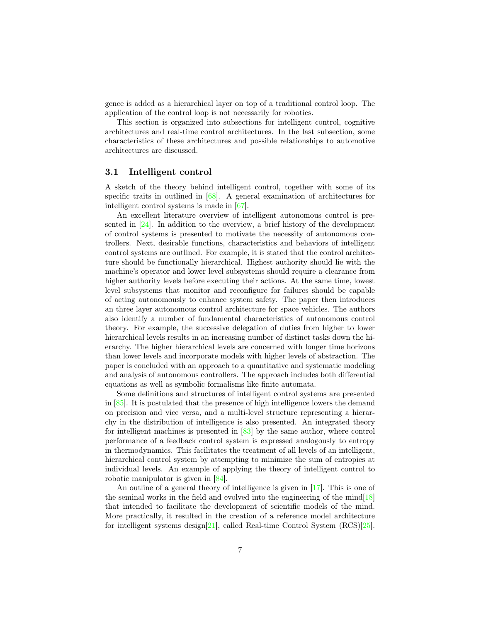gence is added as a hierarchical layer on top of a traditional control loop. The application of the control loop is not necessarily for robotics.

This section is organized into subsections for intelligent control, cognitive architectures and real-time control architectures. In the last subsection, some characteristics of these architectures and possible relationships to automotive architectures are discussed.

#### <span id="page-7-0"></span>3.1 Intelligent control

A sketch of the theory behind intelligent control, together with some of its specific traits in outlined in  $[68]$ . A general examination of architectures for intelligent control systems is made in [\[67\]](#page-24-4).

An excellent literature overview of intelligent autonomous control is presented in [\[24\]](#page-19-3). In addition to the overview, a brief history of the development of control systems is presented to motivate the necessity of autonomous controllers. Next, desirable functions, characteristics and behaviors of intelligent control systems are outlined. For example, it is stated that the control architecture should be functionally hierarchical. Highest authority should lie with the machine's operator and lower level subsystems should require a clearance from higher authority levels before executing their actions. At the same time, lowest level subsystems that monitor and reconfigure for failures should be capable of acting autonomously to enhance system safety. The paper then introduces an three layer autonomous control architecture for space vehicles. The authors also identify a number of fundamental characteristics of autonomous control theory. For example, the successive delegation of duties from higher to lower hierarchical levels results in an increasing number of distinct tasks down the hierarchy. The higher hierarchical levels are concerned with longer time horizons than lower levels and incorporate models with higher levels of abstraction. The paper is concluded with an approach to a quantitative and systematic modeling and analysis of autonomous controllers. The approach includes both differential equations as well as symbolic formalisms like finite automata.

Some definitions and structures of intelligent control systems are presented in [\[85\]](#page-26-1). It is postulated that the presence of high intelligence lowers the demand on precision and vice versa, and a multi-level structure representing a hierarchy in the distribution of intelligence is also presented. An integrated theory for intelligent machines is presented in [\[83\]](#page-26-2) by the same author, where control performance of a feedback control system is expressed analogously to entropy in thermodynamics. This facilitates the treatment of all levels of an intelligent, hierarchical control system by attempting to minimize the sum of entropies at individual levels. An example of applying the theory of intelligent control to robotic manipulator is given in [\[84\]](#page-26-3).

An outline of a general theory of intelligence is given in  $[17]$ . This is one of the seminal works in the field and evolved into the engineering of the mind $[18]$ that intended to facilitate the development of scientific models of the mind. More practically, it resulted in the creation of a reference model architecture for intelligent systems design[\[21\]](#page-19-6), called Real-time Control System (RCS)[\[25\]](#page-19-1).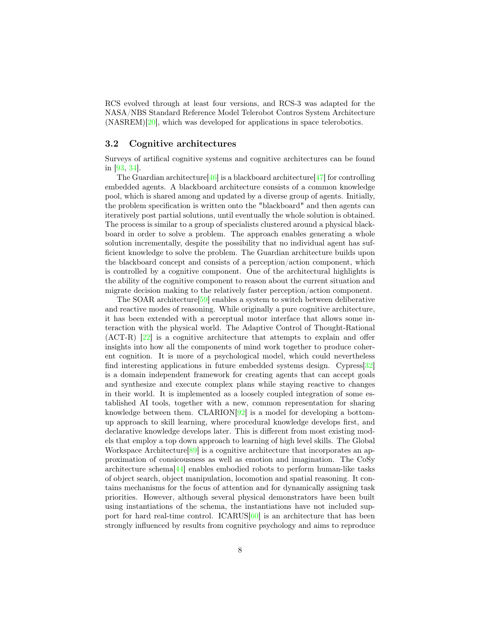RCS evolved through at least four versions, and RCS-3 was adapted for the NASA/NBS Standard Reference Model Telerobot Contros System Architecture (NASREM)[\[20\]](#page-19-7), which was developed for applications in space telerobotics.

#### <span id="page-8-0"></span>3.2 Cognitive architectures

Surveys of artifical cognitive systems and cognitive architectures can be found in [\[93,](#page-27-3) [34\]](#page-20-5).

The Guardian architecture  $[46]$  is a blackboard architecture  $[47]$  for controlling embedded agents. A blackboard architecture consists of a common knowledge pool, which is shared among and updated by a diverse group of agents. Initially, the problem specification is written onto the "blackboard" and then agents can iteratively post partial solutions, until eventually the whole solution is obtained. The process is similar to a group of specialists clustered around a physical blackboard in order to solve a problem. The approach enables generating a whole solution incrementally, despite the possibility that no individual agent has sufficient knowledge to solve the problem. The Guardian architecture builds upon the blackboard concept and consists of a perception/action component, which is controlled by a cognitive component. One of the architectural highlights is the ability of the cognitive component to reason about the current situation and migrate decision making to the relatively faster perception/action component.

The SOAR architecture[\[59\]](#page-23-3) enables a system to switch between deliberative and reactive modes of reasoning. While originally a pure cognitive architecture, it has been extended with a perceptual motor interface that allows some interaction with the physical world. The Adaptive Control of Thought-Rational (ACT-R) [\[22\]](#page-19-8) is a cognitive architecture that attempts to explain and offer insights into how all the components of mind work together to produce coherent cognition. It is more of a psychological model, which could nevertheless find interesting applications in future embedded systems design. Cypress[\[32\]](#page-20-6) is a domain independent framework for creating agents that can accept goals and synthesize and execute complex plans while staying reactive to changes in their world. It is implemented as a loosely coupled integration of some established AI tools, together with a new, common representation for sharing knowledge between them.  $CLARION[92]$  $CLARION[92]$  is a model for developing a bottomup approach to skill learning, where procedural knowledge develops first, and declarative knowledge develops later. This is different from most existing models that employ a top down approach to learning of high level skills. The Global Workspace Architecture<sup>[\[89\]](#page-26-4)</sup> is a cognitive architecture that incorporates an approximation of consicousness as well as emotion and imagination. The CoSy architecture schema[\[44\]](#page-22-1) enables embodied robots to perform human-like tasks of object search, object manipulation, locomotion and spatial reasoning. It contains mechanisms for the focus of attention and for dynamically assigning task priorities. However, although several physical demonstrators have been built using instantiations of the schema, the instantiations have not included support for hard real-time control. ICARUS[\[60\]](#page-23-4) is an architecture that has been strongly influenced by results from cognitive psychology and aims to reproduce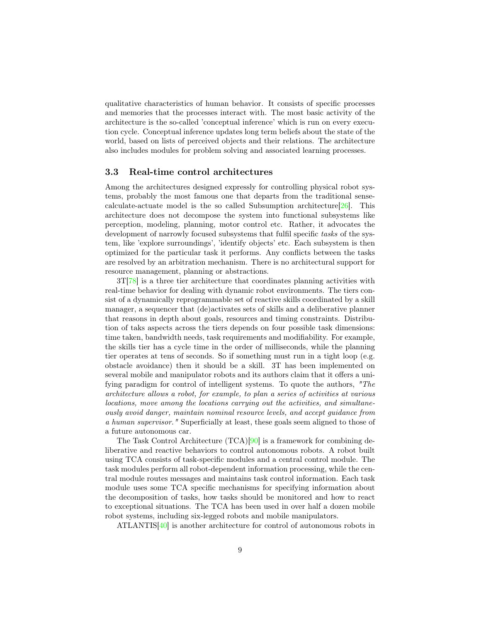qualitative characteristics of human behavior. It consists of specific processes and memories that the processes interact with. The most basic activity of the architecture is the so-called 'conceptual inference' which is run on every execution cycle. Conceptual inference updates long term beliefs about the state of the world, based on lists of perceived objects and their relations. The architecture also includes modules for problem solving and associated learning processes.

#### <span id="page-9-0"></span>3.3 Real-time control architectures

Among the architectures designed expressly for controlling physical robot systems, probably the most famous one that departs from the traditional sensecalculate-actuate model is the so called Subsumption architecture  $[26]$ . This architecture does not decompose the system into functional subsystems like perception, modeling, planning, motor control etc. Rather, it advocates the development of narrowly focused subsystems that fulfil specific tasks of the system, like 'explore surroundings', 'identify objects' etc. Each subsystem is then optimized for the particular task it performs. Any conflicts between the tasks are resolved by an arbitration mechanism. There is no architectural support for resource management, planning or abstractions.

 $3T[78]$  $3T[78]$  is a three tier architecture that coordinates planning activities with real-time behavior for dealing with dynamic robot environments. The tiers consist of a dynamically reprogrammable set of reactive skills coordinated by a skill manager, a sequencer that (de)activates sets of skills and a deliberative planner that reasons in depth about goals, resources and timing constraints. Distribution of taks aspects across the tiers depends on four possible task dimensions: time taken, bandwidth needs, task requirements and modifiability. For example, the skills tier has a cycle time in the order of milliseconds, while the planning tier operates at tens of seconds. So if something must run in a tight loop (e.g. obstacle avoidance) then it should be a skill. 3T has been implemented on several mobile and manipulator robots and its authors claim that it offers a unifying paradigm for control of intelligent systems. To quote the authors, "The architecture allows a robot, for example, to plan a series of activities at various locations, move among the locations carrying out the activities, and simultaneously avoid danger, maintain nominal resource levels, and accept guidance from a human supervisor." Superficially at least, these goals seem aligned to those of a future autonomous car.

The Task Control Architecture (TCA)[\[90\]](#page-26-5) is a framework for combining deliberative and reactive behaviors to control autonomous robots. A robot built using TCA consists of task-specific modules and a central control module. The task modules perform all robot-dependent information processing, while the central module routes messages and maintains task control information. Each task module uses some TCA specific mechanisms for specifying information about the decomposition of tasks, how tasks should be monitored and how to react to exceptional situations. The TCA has been used in over half a dozen mobile robot systems, including six-legged robots and mobile manipulators.

ATLANTIS[\[40\]](#page-21-2) is another architecture for control of autonomous robots in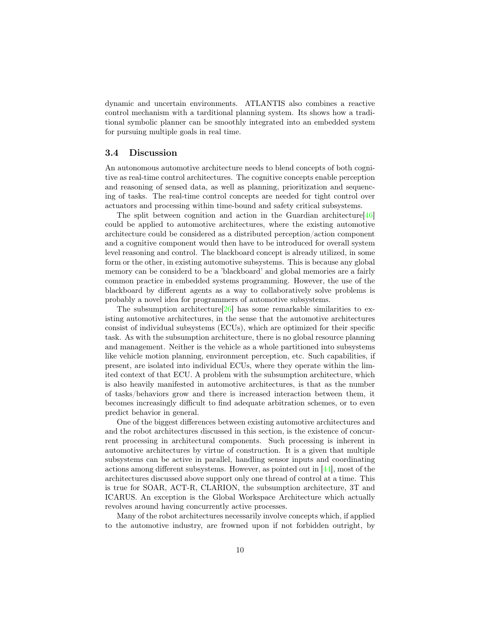dynamic and uncertain environments. ATLANTIS also combines a reactive control mechanism with a tarditional planning system. Its shows how a traditional symbolic planner can be smoothly integrated into an embedded system for pursuing multiple goals in real time.

#### <span id="page-10-0"></span>3.4 Discussion

An autonomous automotive architecture needs to blend concepts of both cognitive as real-time control architectures. The cognitive concepts enable perception and reasoning of sensed data, as well as planning, prioritization and sequencing of tasks. The real-time control concepts are needed for tight control over actuators and processing within time-bound and safety critical subsystems.

The split between cognition and action in the Guardian architecture[\[46\]](#page-22-2) could be applied to automotive architectures, where the existing automotive architecture could be considered as a distributed perception/action component and a cognitive component would then have to be introduced for overall system level reasoning and control. The blackboard concept is already utilized, in some form or the other, in existing automotive subsystems. This is because any global memory can be considerd to be a 'blackboard' and global memories are a fairly common practice in embedded systems programming. However, the use of the blackboard by different agents as a way to collaboratively solve problems is probably a novel idea for programmers of automotive subsystems.

The subsumption architecture[\[26\]](#page-20-7) has some remarkable similarities to existing automotive architectures, in the sense that the automotive architectures consist of individual subsystems (ECUs), which are optimized for their specific task. As with the subsumption architecture, there is no global resource planning and management. Neither is the vehicle as a whole partitioned into subsystems like vehicle motion planning, environment perception, etc. Such capabilities, if present, are isolated into individual ECUs, where they operate within the limited context of that ECU. A problem with the subsumption architecture, which is also heavily manifested in automotive architectures, is that as the number of tasks/behaviors grow and there is increased interaction between them, it becomes increasingly difficult to find adequate arbitration schemes, or to even predict behavior in general.

One of the biggest differences between existing automotive architectures and and the robot architectures discussed in this section, is the existence of concurrent processing in architectural components. Such processing is inherent in automotive architectures by virtue of construction. It is a given that multiple subsystems can be active in parallel, handling sensor inputs and coordinating actions among different subsystems. However, as pointed out in [\[44\]](#page-22-1), most of the architectures discussed above support only one thread of control at a time. This is true for SOAR, ACT-R, CLARION, the subsumption architecture, 3T and ICARUS. An exception is the Global Workspace Architecture which actually revolves around having concurrently active processes.

Many of the robot architectures necessarily involve concepts which, if applied to the automotive industry, are frowned upon if not forbidden outright, by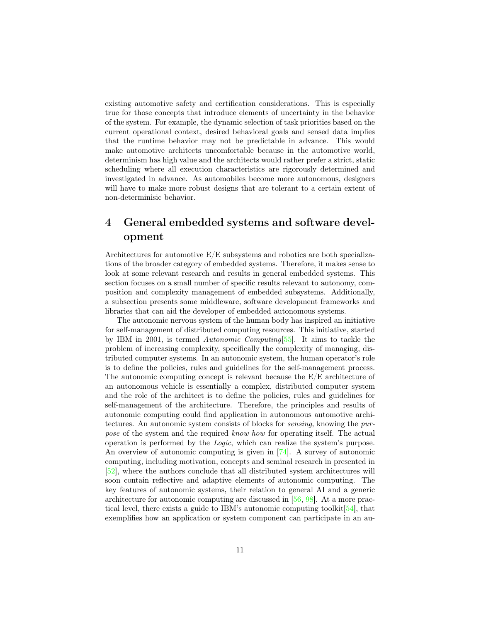existing automotive safety and certification considerations. This is especially true for those concepts that introduce elements of uncertainty in the behavior of the system. For example, the dynamic selection of task priorities based on the current operational context, desired behavioral goals and sensed data implies that the runtime behavior may not be predictable in advance. This would make automotive architects uncomfortable because in the automotive world, determinism has high value and the architects would rather prefer a strict, static scheduling where all execution characteristics are rigorously determined and investigated in advance. As automobiles become more autonomous, designers will have to make more robust designs that are tolerant to a certain extent of non-determinisic behavior.

# <span id="page-11-0"></span>4 General embedded systems and software development

Architectures for automotive  $E/E$  subsystems and robotics are both specializations of the broader category of embedded systems. Therefore, it makes sense to look at some relevant research and results in general embedded systems. This section focuses on a small number of specific results relevant to autonomy, composition and complexity management of embedded subsystems. Additionally, a subsection presents some middleware, software development frameworks and libraries that can aid the developer of embedded autonomous systems.

The autonomic nervous system of the human body has inspired an initiative for self-management of distributed computing resources. This initiative, started by IBM in 2001, is termed Autonomic Computing[\[55\]](#page-23-5). It aims to tackle the problem of increasing complexity, specifically the complexity of managing, distributed computer systems. In an autonomic system, the human operator's role is to define the policies, rules and guidelines for the self-management process. The autonomic computing concept is relevant because the E/E architecture of an autonomous vehicle is essentially a complex, distributed computer system and the role of the architect is to define the policies, rules and guidelines for self-management of the architecture. Therefore, the principles and results of autonomic computing could find application in autonomous automotive architectures. An autonomic system consists of blocks for sensing, knowing the purpose of the system and the required know how for operating itself. The actual operation is performed by the Logic, which can realize the system's purpose. An overview of autonomic computing is given in [\[74\]](#page-25-5). A survey of autonomic computing, including motivation, concepts and seminal research in presented in [\[52\]](#page-22-3), where the authors conclude that all distributed system architectures will soon contain reflective and adaptive elements of autonomic computing. The key features of autonomic systems, their relation to general AI and a generic architecture for autonomic computing are discussed in [\[56,](#page-23-6) [98\]](#page-27-5). At a more practical level, there exists a guide to IBM's autonomic computing toolkit  $[54]$ , that exemplifies how an application or system component can participate in an au-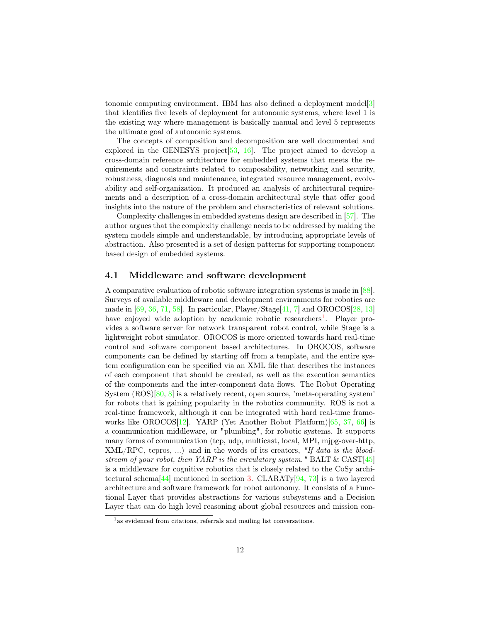tonomic computing environment. IBM has also defined a deployment model[\[3\]](#page-18-2) that identifies five levels of deployment for autonomic systems, where level 1 is the existing way where management is basically manual and level 5 represents the ultimate goal of autonomic systems.

The concepts of composition and decomposition are well documented and explored in the GENESYS project [\[53,](#page-22-4) [16\]](#page-19-9). The project aimed to develop a cross-domain reference architecture for embedded systems that meets the requirements and constraints related to composability, networking and security, robustness, diagnosis and maintenance, integrated resource management, evolvability and self-organization. It produced an analysis of architectural requirements and a description of a cross-domain architectural style that offer good insights into the nature of the problem and characteristics of relevant solutions.

Complexity challenges in embedded systems design are described in [\[57\]](#page-23-8). The author argues that the complexity challenge needs to be addressed by making the system models simple and understandable, by introducing appropriate levels of abstraction. Also presented is a set of design patterns for supporting component based design of embedded systems.

#### <span id="page-12-0"></span>4.1 Middleware and software development

A comparative evaluation of robotic software integration systems is made in [\[88\]](#page-26-6). Surveys of available middleware and development environments for robotics are made in  $[69, 36, 71, 58]$  $[69, 36, 71, 58]$  $[69, 36, 71, 58]$  $[69, 36, 71, 58]$  $[69, 36, 71, 58]$  $[69, 36, 71, 58]$  $[69, 36, 71, 58]$ . In particular, Player/Stage $[41, 7]$  $[41, 7]$  $[41, 7]$  and OROCOS $[28, 13]$  $[28, 13]$  $[28, 13]$ have enjoyed wide adoption by academic robotic researchers<sup>[1](#page-12-1)</sup>. Player provides a software server for network transparent robot control, while Stage is a lightweight robot simulator. OROCOS is more oriented towards hard real-time control and software component based architectures. In OROCOS, software components can be defined by starting off from a template, and the entire system configuration can be specified via an XML file that describes the instances of each component that should be created, as well as the execution semantics of the components and the inter-component data flows. The Robot Operating System (ROS)[\[80,](#page-25-6) [8\]](#page-18-5) is a relatively recent, open source, 'meta-operating system' for robots that is gaining popularity in the robotics community. ROS is not a real-time framework, although it can be integrated with hard real-time frame-works like OROCOS[\[12\]](#page-18-6). YARP (Yet Another Robot Platform)[\[65,](#page-24-7) [37,](#page-21-5) [66\]](#page-24-8) is a communication middleware, or "plumbing", for robotic systems. It supports many forms of communication (tcp, udp, multicast, local, MPI, mjpg-over-http,  $XML/RPC$ , tepros, ...) and in the words of its creators, "If data is the bloodstream of your robot, then YARP is the circulatory system." BALT & CAST[\[45\]](#page-22-5) is a middleware for cognitive robotics that is closely related to the CoSy archi-tectural schema<sup>[\[44\]](#page-22-1)</sup> mentioned in section [3.](#page-6-1) CLARATy<sup>[94</sup>, [73\]](#page-24-9) is a two layered architecture and software framework for robot autonomy. It consists of a Functional Layer that provides abstractions for various subsystems and a Decision Layer that can do high level reasoning about global resources and mission con-

<span id="page-12-1"></span><sup>&</sup>lt;sup>1</sup> as evidenced from citations, referrals and mailing list conversations.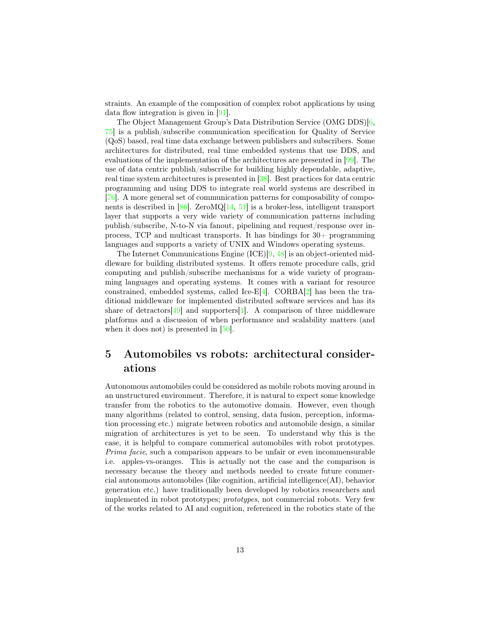straints. An example of the composition of complex robot applications by using data flow integration is given in [\[91\]](#page-26-7).

The Object Management Group's Data Distribution Service (OMG DDS)[\[6,](#page-18-7) [75\]](#page-25-7) is a publish/subscribe communication specification for Quality of Service (QoS) based, real time data exchange between publishers and subscribers. Some architectures for distributed, real time embedded systems that use DDS, and evaluations of the implementation of the architectures are presented in [\[99\]](#page-28-0). The use of data centric publish/subscribe for building highly dependable, adaptive, real time system architectures is presented in [\[38\]](#page-21-6). Best practices for data centric programming and using DDS to integrate real world systems are described in [\[76\]](#page-25-8). A more general set of communication patterns for composability of components is described in [\[86\]](#page-26-8). ZeroMQ[\[14,](#page-18-8) [51\]](#page-22-6) is a broker-less, intelligent transport layer that supports a very wide variety of communication patterns including publish/subscribe, N-to-N via fanout, pipelining and request/response over inprocess, TCP and multicast transports. It has bindings for 30+ programming languages and supports a variety of UNIX and Windows operating systems.

The Internet Communications Engine (ICE)[\[9,](#page-18-9) [48\]](#page-22-7) is an object-oriented middleware for building distributed systems. It offers remote procedure calls, grid computing and publish/subscribe mechanisms for a wide variety of programming languages and operating systems. It comes with a variant for resource constrained, embedded systems, called Ice-E[\[4\]](#page-18-10). CORBA[\[2\]](#page-18-11) has been the traditional middleware for implemented distributed software services and has its share of detractors [\[49\]](#page-22-8) and supporters [\[1\]](#page-18-12). A comparison of three middleware platforms and a discussion of when performance and scalability matters (and when it does not) is presented in [\[50\]](#page-22-9).

# <span id="page-13-0"></span>5 Automobiles vs robots: architectural considerations

Autonomous automobiles could be considered as mobile robots moving around in an unstructured environment. Therefore, it is natural to expect some knowledge transfer from the robotics to the automotive domain. However, even though many algorithms (related to control, sensing, data fusion, perception, information processing etc.) migrate between robotics and automobile design, a similar migration of architectures is yet to be seen. To understand why this is the case, it is helpful to compare commerical automobiles with robot prototypes. Prima facie, such a comparison appears to be unfair or even incommensurable i.e. apples-vs-oranges. This is actually not the case and the comparison is necessary because the theory and methods needed to create future commercial autonomous automobiles (like cognition, artificial intelligence(AI), behavior generation etc.) have traditionally been developed by robotics researchers and implemented in robot prototypes; prototypes, not commercial robots. Very few of the works related to AI and cognition, referenced in the robotics state of the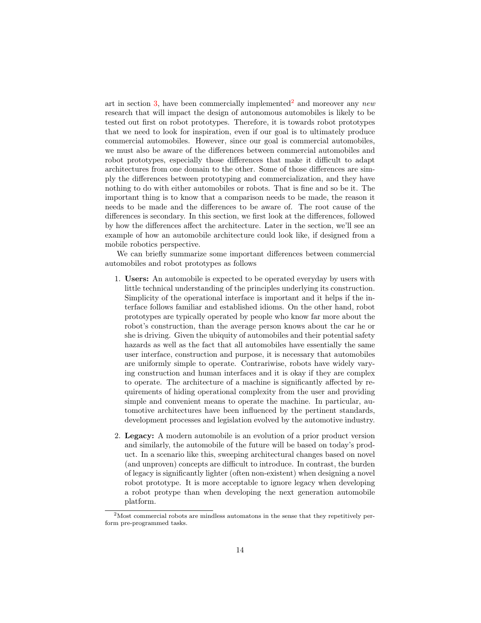art in section [3,](#page-6-1) have been commercially implemented<sup>[2](#page-14-0)</sup> and moreover any new research that will impact the design of autonomous automobiles is likely to be tested out first on robot prototypes. Therefore, it is towards robot prototypes that we need to look for inspiration, even if our goal is to ultimately produce commercial automobiles. However, since our goal is commercial automobiles, we must also be aware of the differences between commercial automobiles and robot prototypes, especially those differences that make it difficult to adapt architectures from one domain to the other. Some of those differences are simply the differences between prototyping and commercialization, and they have nothing to do with either automobiles or robots. That is fine and so be it. The important thing is to know that a comparison needs to be made, the reason it needs to be made and the differences to be aware of. The root cause of the differences is secondary. In this section, we first look at the differences, followed by how the differences affect the architecture. Later in the section, we'll see an example of how an automobile architecture could look like, if designed from a mobile robotics perspective.

We can briefly summarize some important differences between commercial automobiles and robot prototypes as follows

- 1. Users: An automobile is expected to be operated everyday by users with little technical understanding of the principles underlying its construction. Simplicity of the operational interface is important and it helps if the interface follows familiar and established idioms. On the other hand, robot prototypes are typically operated by people who know far more about the robot's construction, than the average person knows about the car he or she is driving. Given the ubiquity of automobiles and their potential safety hazards as well as the fact that all automobiles have essentially the same user interface, construction and purpose, it is necessary that automobiles are uniformly simple to operate. Contrariwise, robots have widely varying construction and human interfaces and it is okay if they are complex to operate. The architecture of a machine is significantly affected by requirements of hiding operational complexity from the user and providing simple and convenient means to operate the machine. In particular, automotive architectures have been influenced by the pertinent standards, development processes and legislation evolved by the automotive industry.
- 2. Legacy: A modern automobile is an evolution of a prior product version and similarly, the automobile of the future will be based on today's product. In a scenario like this, sweeping architectural changes based on novel (and unproven) concepts are difficult to introduce. In contrast, the burden of legacy is significantly lighter (often non-existent) when designing a novel robot prototype. It is more acceptable to ignore legacy when developing a robot protype than when developing the next generation automobile platform.

<span id="page-14-0"></span><sup>&</sup>lt;sup>2</sup>Most commercial robots are mindless automatons in the sense that they repetitively perform pre-programmed tasks.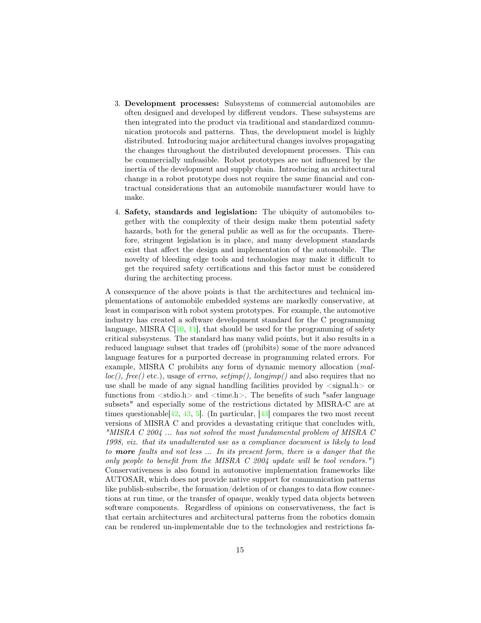- 3. Development processes: Subsystems of commercial automobiles are often designed and developed by different vendors. These subsystems are then integrated into the product via traditional and standardized communication protocols and patterns. Thus, the development model is highly distributed. Introducing major architectural changes involves propagating the changes throughout the distributed development processes. This can be commercially unfeasible. Robot prototypes are not influenced by the inertia of the development and supply chain. Introducing an architectural change in a robot prototype does not require the same financial and contractual considerations that an automobile manufacturer would have to make.
- 4. Safety, standards and legislation: The ubiquity of automobiles together with the complexity of their design make them potential safety hazards, both for the general public as well as for the occupants. Therefore, stringent legislation is in place, and many development standards exist that affect the design and implementation of the automobile. The novelty of bleeding edge tools and technologies may make it difficult to get the required safety certifications and this factor must be considered during the architecting process.

A consequence of the above points is that the architectures and technical implementations of automobile embedded systems are markedly conservative, at least in comparison with robot system prototypes. For example, the automotive industry has created a software development standard for the C programming language, MISRA  $C[10, 11]$  $C[10, 11]$  $C[10, 11]$  $C[10, 11]$ , that should be used for the programming of safety critical subsystems. The standard has many valid points, but it also results in a reduced language subset that trades off (prohibits) some of the more advanced language features for a purported decrease in programming related errors. For example, MISRA C prohibits any form of dynamic memory allocation (mal $loc(), free()$  etc.), usage of *errno*,  $setjump(), longjmp()$  and also requires that no use shall be made of any signal handling facilities provided by  $\langle$  signal.h $\rangle$  or functions from  $\langle$ stdio.h $\rangle$  and  $\langle$ time.h $\rangle$ . The benefits of such "safer language subsets" and especially some of the restrictions dictated by MISRA-C are at times questionable  $[42, 43, 5]$  $[42, 43, 5]$  $[42, 43, 5]$  $[42, 43, 5]$  $[42, 43, 5]$ . (In particular,  $[43]$  compares the two most recent versions of MISRA C and provides a devastating critique that concludes with, "MISRA C 2004 ... has not solved the most fundamental problem of MISRA C 1998, viz. that its unadulterated use as a compliance document is likely to lead to more faults and not less ... In its present form, there is a danger that the only people to benefit from the MISRA  $C$  2004 update will be tool vendors.") Conservativeness is also found in automotive implementation frameworks like AUTOSAR, which does not provide native support for communication patterns like publish-subscribe, the formation/deletion of or changes to data flow connections at run time, or the transfer of opaque, weakly typed data objects between software components. Regardless of opinions on conservativeness, the fact is that certain architectures and architectural patterns from the robotics domain can be rendered un-implementable due to the technologies and restrictions fa-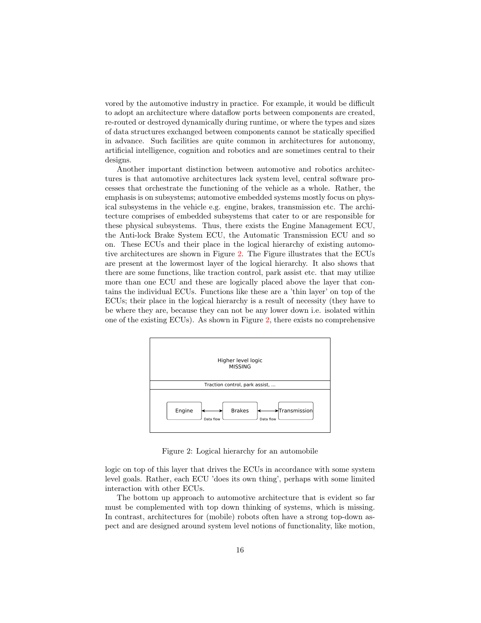vored by the automotive industry in practice. For example, it would be difficult to adopt an architecture where dataflow ports between components are created, re-routed or destroyed dynamically during runtime, or where the types and sizes of data structures exchanged between components cannot be statically specified in advance. Such facilities are quite common in architectures for autonomy, artificial intelligence, cognition and robotics and are sometimes central to their designs.

Another important distinction between automotive and robotics architectures is that automotive architectures lack system level, central software processes that orchestrate the functioning of the vehicle as a whole. Rather, the emphasis is on subsystems; automotive embedded systems mostly focus on physical subsystems in the vehicle e.g. engine, brakes, transmission etc. The architecture comprises of embedded subsystems that cater to or are responsible for these physical subsystems. Thus, there exists the Engine Management ECU, the Anti-lock Brake System ECU, the Automatic Transmission ECU and so on. These ECUs and their place in the logical hierarchy of existing automo-tive architectures are shown in Figure [2.](#page-16-0) The Figure illustrates that the ECUs are present at the lowermost layer of the logical hierarchy. It also shows that there are some functions, like traction control, park assist etc. that may utilize more than one ECU and these are logically placed above the layer that contains the individual ECUs. Functions like these are a 'thin layer' on top of the ECUs; their place in the logical hierarchy is a result of necessity (they have to be where they are, because they can not be any lower down i.e. isolated within one of the existing ECUs). As shown in Figure [2,](#page-16-0) there exists no comprehensive



<span id="page-16-0"></span>Figure 2: Logical hierarchy for an automobile

logic on top of this layer that drives the ECUs in accordance with some system level goals. Rather, each ECU 'does its own thing', perhaps with some limited interaction with other ECUs.

The bottom up approach to automotive architecture that is evident so far must be complemented with top down thinking of systems, which is missing. In contrast, architectures for (mobile) robots often have a strong top-down aspect and are designed around system level notions of functionality, like motion,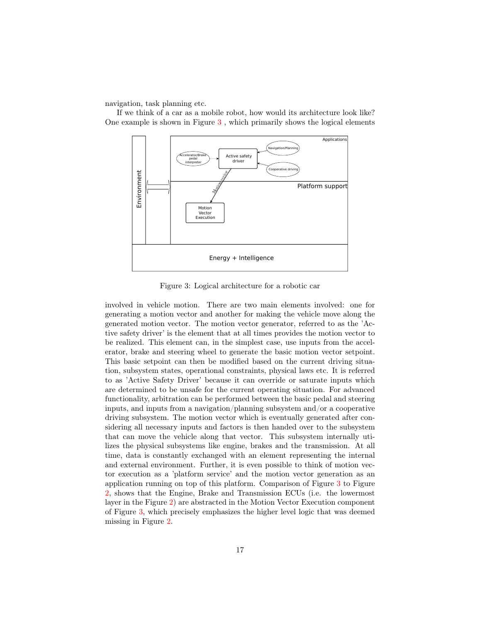navigation, task planning etc.

If we think of a car as a mobile robot, how would its architecture look like? One example is shown in Figure [3](#page-17-0) , which primarily shows the logical elements



<span id="page-17-0"></span>Figure 3: Logical architecture for a robotic car

involved in vehicle motion. There are two main elements involved: one for generating a motion vector and another for making the vehicle move along the generated motion vector. The motion vector generator, referred to as the 'Active safety driver' is the element that at all times provides the motion vector to be realized. This element can, in the simplest case, use inputs from the accelerator, brake and steering wheel to generate the basic motion vector setpoint. This basic setpoint can then be modified based on the current driving situation, subsystem states, operational constraints, physical laws etc. It is referred to as 'Active Safety Driver' because it can override or saturate inputs which are determined to be unsafe for the current operating situation. For advanced functionality, arbitration can be performed between the basic pedal and steering inputs, and inputs from a navigation/planning subsystem and/or a cooperative driving subsystem. The motion vector which is eventually generated after considering all necessary inputs and factors is then handed over to the subsystem that can move the vehicle along that vector. This subsystem internally utilizes the physical subsystems like engine, brakes and the transmission. At all time, data is constantly exchanged with an element representing the internal and external environment. Further, it is even possible to think of motion vector execution as a 'platform service' and the motion vector generation as an application running on top of this platform. Comparison of Figure [3](#page-17-0) to Figure [2,](#page-16-0) shows that the Engine, Brake and Transmission ECUs (i.e. the lowermost layer in the Figure [2\)](#page-16-0) are abstracted in the Motion Vector Execution component of Figure [3,](#page-17-0) which precisely emphasizes the higher level logic that was deemed missing in Figure [2.](#page-16-0)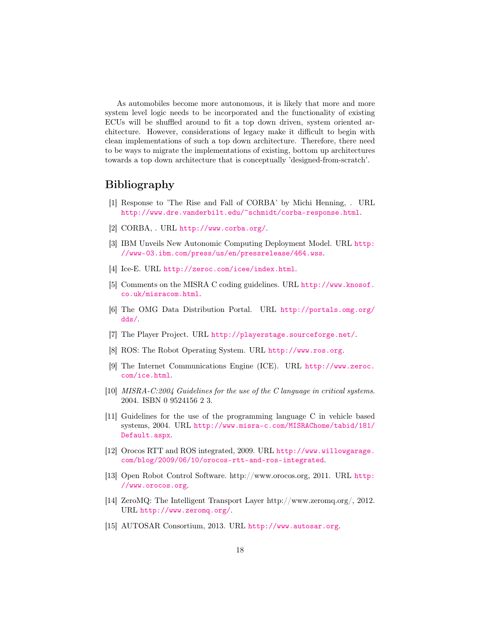As automobiles become more autonomous, it is likely that more and more system level logic needs to be incorporated and the functionality of existing ECUs will be shuffled around to fit a top down driven, system oriented architecture. However, considerations of legacy make it difficult to begin with clean implementations of such a top down architecture. Therefore, there need to be ways to migrate the implementations of existing, bottom up architectures towards a top down architecture that is conceptually 'designed-from-scratch'.

## <span id="page-18-0"></span>Bibliography

- <span id="page-18-12"></span>[1] Response to 'The Rise and Fall of CORBA' by Michi Henning, . URL <http://www.dre.vanderbilt.edu/~schmidt/corba-response.html>.
- <span id="page-18-11"></span>[2] CORBA, . URL <http://www.corba.org/>.
- <span id="page-18-2"></span>[3] IBM Unveils New Autonomic Computing Deployment Model. URL [http:](http://www-03.ibm.com/press/us/en/pressrelease/464.wss) [//www-03.ibm.com/press/us/en/pressrelease/464.wss](http://www-03.ibm.com/press/us/en/pressrelease/464.wss).
- <span id="page-18-10"></span>[4] Ice-E. URL <http://zeroc.com/icee/index.html>.
- <span id="page-18-15"></span>[5] Comments on the MISRA C coding guidelines. URL [http://www.knosof.](http://www.knosof.co.uk/misracom.html) [co.uk/misracom.html](http://www.knosof.co.uk/misracom.html).
- <span id="page-18-7"></span>[6] The OMG Data Distribution Portal. URL [http://portals.omg.org/](http://portals.omg.org/dds/) [dds/](http://portals.omg.org/dds/).
- <span id="page-18-3"></span>[7] The Player Project. URL <http://playerstage.sourceforge.net/>.
- <span id="page-18-5"></span>[8] ROS: The Robot Operating System. URL <http://www.ros.org>.
- <span id="page-18-9"></span>[9] The Internet Communications Engine (ICE). URL [http://www.zeroc.](http://www.zeroc.com/ice.html) [com/ice.html](http://www.zeroc.com/ice.html).
- <span id="page-18-13"></span>[10] MISRA-C:2004 Guidelines for the use of the C language in critical systems. 2004. ISBN 0 9524156 2 3.
- <span id="page-18-14"></span>[11] Guidelines for the use of the programming language C in vehicle based systems, 2004. URL [http://www.misra-c.com/MISRAChome/tabid/181/](http://www.misra-c.com/MISRAChome/tabid/181/Default.aspx) [Default.aspx](http://www.misra-c.com/MISRAChome/tabid/181/Default.aspx).
- <span id="page-18-6"></span>[12] Orocos RTT and ROS integrated, 2009. URL [http://www.willowgarage.](http://www.willowgarage.com/blog/2009/06/10/orocos-rtt-and-ros-integrated) [com/blog/2009/06/10/orocos-rtt-and-ros-integrated](http://www.willowgarage.com/blog/2009/06/10/orocos-rtt-and-ros-integrated).
- <span id="page-18-4"></span>[13] Open Robot Control Software. http://www.orocos.org, 2011. URL [http:](http://www.orocos.org) [//www.orocos.org](http://www.orocos.org).
- <span id="page-18-8"></span>[14] ZeroMQ: The Intelligent Transport Layer http://www.zeromq.org/, 2012. URL <http://www.zeromq.org/>.
- <span id="page-18-1"></span>[15] AUTOSAR Consortium, 2013. URL <http://www.autosar.org>.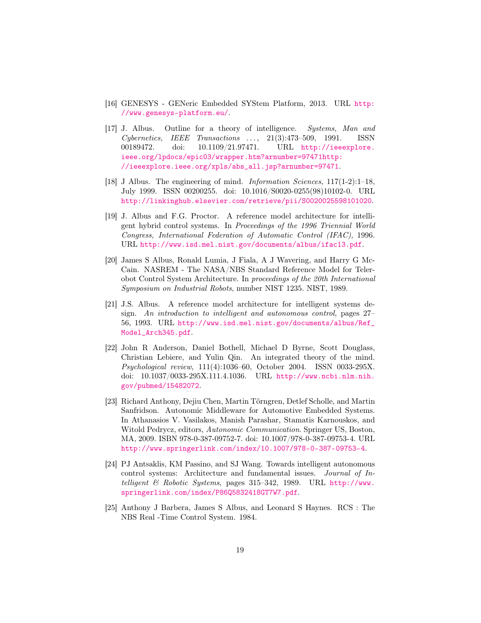- <span id="page-19-9"></span>[16] GENESYS - GENeric Embedded SYStem Platform, 2013. URL [http:](http://www.genesys-platform.eu/) [//www.genesys-platform.eu/](http://www.genesys-platform.eu/).
- <span id="page-19-4"></span>[17] J. Albus. Outline for a theory of intelligence. Systems, Man and  $Cybernetics, \quad IEEE \quad Transactions \quad \ldots, \quad 21(3):473-509, \quad 1991. \qquad ISSN$ 00189472. doi: 10.1109/21.97471. URL [http://ieeexplore.](http://ieeexplore.ieee.org/lpdocs/epic03/wrapper.htm?arnumber=97471 http://ieeexplore.ieee.org/xpls/abs_all.jsp?arnumber=97471) [ieee.org/lpdocs/epic03/wrapper.htm?arnumber=97471http:](http://ieeexplore.ieee.org/lpdocs/epic03/wrapper.htm?arnumber=97471 http://ieeexplore.ieee.org/xpls/abs_all.jsp?arnumber=97471) [//ieeexplore.ieee.org/xpls/abs\\_all.jsp?arnumber=97471](http://ieeexplore.ieee.org/lpdocs/epic03/wrapper.htm?arnumber=97471 http://ieeexplore.ieee.org/xpls/abs_all.jsp?arnumber=97471).
- <span id="page-19-5"></span>[18] J Albus. The engineering of mind. *Information Sciences*, 117(1-2):1-18, July 1999. ISSN 00200255. doi: 10.1016/S0020-0255(98)10102-0. URL <http://linkinghub.elsevier.com/retrieve/pii/S0020025598101020>.
- <span id="page-19-2"></span>[19] J. Albus and F.G. Proctor. A reference model architecture for intelligent hybrid control systems. In Proceedings of the 1996 Triennial World Congress, International Federation of Automatic Control (IFAC), 1996. URL <http://www.isd.mel.nist.gov/documents/albus/ifac13.pdf>.
- <span id="page-19-7"></span>[20] James S Albus, Ronald Lumia, J Fiala, A J Wavering, and Harry G Mc-Cain. NASREM - The NASA/NBS Standard Reference Model for Telerobot Control System Architecture. In proceedings of the 20th International Symposium on Industrial Robots, number NIST 1235. NIST, 1989.
- <span id="page-19-6"></span>[21] J.S. Albus. A reference model architecture for intelligent systems design. An introduction to intelligent and autonomous control, pages 27– 56, 1993. URL [http://www.isd.mel.nist.gov/documents/albus/Ref\\_](http://www.isd.mel.nist.gov/documents/albus/Ref_Model_Arch345.pdf) [Model\\_Arch345.pdf](http://www.isd.mel.nist.gov/documents/albus/Ref_Model_Arch345.pdf).
- <span id="page-19-8"></span>[22] John R Anderson, Daniel Bothell, Michael D Byrne, Scott Douglass, Christian Lebiere, and Yulin Qin. An integrated theory of the mind. Psychological review, 111(4):1036–60, October 2004. ISSN 0033-295X. doi: 10.1037/0033-295X.111.4.1036. URL [http://www.ncbi.nlm.nih.](http://www.ncbi.nlm.nih.gov/pubmed/15482072) [gov/pubmed/15482072](http://www.ncbi.nlm.nih.gov/pubmed/15482072).
- <span id="page-19-0"></span>[23] Richard Anthony, Dejiu Chen, Martin Törngren, Detlef Scholle, and Martin Sanfridson. Autonomic Middleware for Automotive Embedded Systems. In Athanasios V. Vasilakos, Manish Parashar, Stamatis Karnouskos, and Witold Pedrycz, editors, Autonomic Communication. Springer US, Boston, MA, 2009. ISBN 978-0-387-09752-7. doi: 10.1007/978-0-387-09753-4. URL <http://www.springerlink.com/index/10.1007/978-0-387-09753-4>.
- <span id="page-19-3"></span>[24] PJ Antsaklis, KM Passino, and SJ Wang. Towards intelligent autonomous control systems: Architecture and fundamental issues. Journal of Intelligent & Robotic Systems, pages 315-342, 1989. URL [http://www.](http://www.springerlink.com/index/P86Q5832418GT7W7.pdf) [springerlink.com/index/P86Q5832418GT7W7.pdf](http://www.springerlink.com/index/P86Q5832418GT7W7.pdf).
- <span id="page-19-1"></span>[25] Anthony J Barbera, James S Albus, and Leonard S Haynes. RCS : The NBS Real -Time Control System. 1984.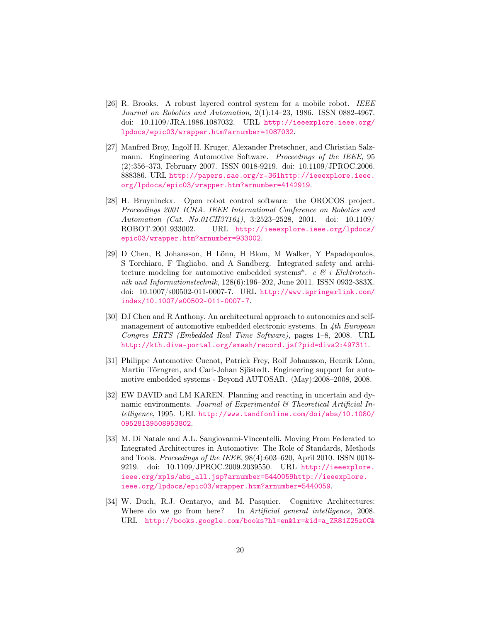- <span id="page-20-7"></span>[26] R. Brooks. A robust layered control system for a mobile robot. IEEE Journal on Robotics and Automation, 2(1):14–23, 1986. ISSN 0882-4967. doi: 10.1109/JRA.1986.1087032. URL [http://ieeexplore.ieee.org/](http://ieeexplore.ieee.org/lpdocs/epic03/wrapper.htm?arnumber=1087032) [lpdocs/epic03/wrapper.htm?arnumber=1087032](http://ieeexplore.ieee.org/lpdocs/epic03/wrapper.htm?arnumber=1087032).
- <span id="page-20-0"></span>[27] Manfred Broy, Ingolf H. Kruger, Alexander Pretschner, and Christian Salzmann. Engineering Automotive Software. Proceedings of the IEEE, 95 (2):356–373, February 2007. ISSN 0018-9219. doi: 10.1109/JPROC.2006. 888386. URL [http://papers.sae.org/r-361http://ieeexplore.ieee.](http://papers.sae.org/r-361 http://ieeexplore.ieee.org/lpdocs/epic03/wrapper.htm?arnumber=4142919) [org/lpdocs/epic03/wrapper.htm?arnumber=4142919](http://papers.sae.org/r-361 http://ieeexplore.ieee.org/lpdocs/epic03/wrapper.htm?arnumber=4142919).
- <span id="page-20-8"></span>[28] H. Bruyninckx. Open robot control software: the OROCOS project. Proceedings 2001 ICRA. IEEE International Conference on Robotics and Automation (Cat. No.01CH37164), 3:2523–2528, 2001. doi: 10.1109/ ROBOT.2001.933002. URL [http://ieeexplore.ieee.org/lpdocs/](http://ieeexplore.ieee.org/lpdocs/epic03/wrapper.htm?arnumber=933002) [epic03/wrapper.htm?arnumber=933002](http://ieeexplore.ieee.org/lpdocs/epic03/wrapper.htm?arnumber=933002).
- <span id="page-20-3"></span>[29] D Chen, R Johansson, H Lönn, H Blom, M Walker, Y Papadopoulos, S Torchiaro, F Tagliabo, and A Sandberg. Integrated safety and architecture modeling for automotive embedded systems\*. e  $\mathcal{C}i$  i Elektrotechnik und Informationstechnik, 128(6):196–202, June 2011. ISSN 0932-383X. doi: 10.1007/s00502-011-0007-7. URL [http://www.springerlink.com/](http://www.springerlink.com/index/10.1007/s00502-011-0007-7) [index/10.1007/s00502-011-0007-7](http://www.springerlink.com/index/10.1007/s00502-011-0007-7).
- <span id="page-20-4"></span>[30] DJ Chen and R Anthony. An architectural approach to autonomics and selfmanagement of automotive embedded electronic systems. In  $\Delta th$  European Congres ERTS (Embedded Real Time Software), pages 1–8, 2008. URL <http://kth.diva-portal.org/smash/record.jsf?pid=diva2:497311>.
- <span id="page-20-2"></span>[31] Philippe Automotive Cuenot, Patrick Frey, Rolf Johansson, Henrik Lönn, Martin Törngren, and Carl-Johan Sjöstedt. Engineering support for automotive embedded systems - Beyond AUTOSAR. (May):2008–2008, 2008.
- <span id="page-20-6"></span>[32] EW DAVID and LM KAREN. Planning and reacting in uncertain and dynamic environments. Journal of Experimental  $\mathcal{C}$  Theoretical Artificial Intelligence, 1995. URL [http://www.tandfonline.com/doi/abs/10.1080/](http://www.tandfonline.com/doi/abs/10.1080/09528139508953802) [09528139508953802](http://www.tandfonline.com/doi/abs/10.1080/09528139508953802).
- <span id="page-20-1"></span>[33] M. Di Natale and A.L. Sangiovanni-Vincentelli. Moving From Federated to Integrated Architectures in Automotive: The Role of Standards, Methods and Tools. Proceedings of the IEEE, 98(4):603–620, April 2010. ISSN 0018- 9219. doi: 10.1109/JPROC.2009.2039550. URL [http://ieeexplore.](http://ieeexplore.ieee.org/xpls/abs_all.jsp?arnumber=5440059 http://ieeexplore.ieee.org/lpdocs/epic03/wrapper.htm?arnumber=5440059) [ieee.org/xpls/abs\\_all.jsp?arnumber=5440059http://ieeexplore.](http://ieeexplore.ieee.org/xpls/abs_all.jsp?arnumber=5440059 http://ieeexplore.ieee.org/lpdocs/epic03/wrapper.htm?arnumber=5440059) [ieee.org/lpdocs/epic03/wrapper.htm?arnumber=5440059](http://ieeexplore.ieee.org/xpls/abs_all.jsp?arnumber=5440059 http://ieeexplore.ieee.org/lpdocs/epic03/wrapper.htm?arnumber=5440059).
- <span id="page-20-5"></span>[34] W. Duch, R.J. Oentaryo, and M. Pasquier. Cognitive Architectures: Where do we go from here? In *Artificial general intelligence*, 2008. URL [http://books.google.com/books?hl=en&lr=&id=a\\_ZR81Z25z0C&](http://books.google.com/books?hl=en&lr=&id=a_ZR81Z25z0C&oi=fnd&pg=PA122&dq=Cognitive+Architectures+:+Where+do+we+go+from+here+?&ots=n15Trrs_KI&sig=rcL8hcj_ZN5k-84oBZiCvQXP_wE)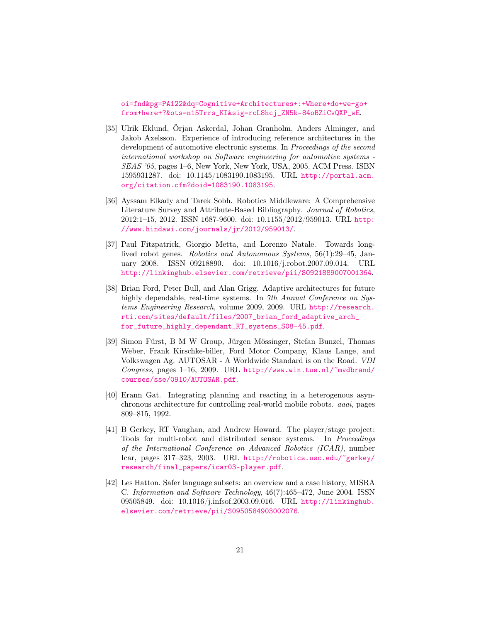[oi=fnd&pg=PA122&dq=Cognitive+Architectures+:+Where+do+we+go+](http://books.google.com/books?hl=en&lr=&id=a_ZR81Z25z0C&oi=fnd&pg=PA122&dq=Cognitive+Architectures+:+Where+do+we+go+from+here+?&ots=n15Trrs_KI&sig=rcL8hcj_ZN5k-84oBZiCvQXP_wE) [from+here+?&ots=n15Trrs\\_KI&sig=rcL8hcj\\_ZN5k-84oBZiCvQXP\\_wE](http://books.google.com/books?hl=en&lr=&id=a_ZR81Z25z0C&oi=fnd&pg=PA122&dq=Cognitive+Architectures+:+Where+do+we+go+from+here+?&ots=n15Trrs_KI&sig=rcL8hcj_ZN5k-84oBZiCvQXP_wE).

- <span id="page-21-1"></span>[35] Ulrik Eklund, Örjan Askerdal, Johan Granholm, Anders Alminger, and Jakob Axelsson. Experience of introducing reference architectures in the development of automotive electronic systems. In Proceedings of the second international workshop on Software engineering for automotive systems - SEAS '05, pages 1–6, New York, New York, USA, 2005. ACM Press. ISBN 1595931287. doi: 10.1145/1083190.1083195. URL [http://portal.acm.](http://portal.acm.org/citation.cfm?doid=1083190.1083195) [org/citation.cfm?doid=1083190.1083195](http://portal.acm.org/citation.cfm?doid=1083190.1083195).
- <span id="page-21-3"></span>[36] Ayssam Elkady and Tarek Sobh. Robotics Middleware: A Comprehensive Literature Survey and Attribute-Based Bibliography. Journal of Robotics, 2012:1–15, 2012. ISSN 1687-9600. doi: 10.1155/2012/959013. URL [http:](http://www.hindawi.com/journals/jr/2012/959013/) [//www.hindawi.com/journals/jr/2012/959013/](http://www.hindawi.com/journals/jr/2012/959013/).
- <span id="page-21-5"></span>[37] Paul Fitzpatrick, Giorgio Metta, and Lorenzo Natale. Towards longlived robot genes. Robotics and Autonomous Systems, 56(1):29–45, January 2008. ISSN 09218890. doi: 10.1016/j.robot.2007.09.014. URL <http://linkinghub.elsevier.com/retrieve/pii/S0921889007001364>.
- <span id="page-21-6"></span>[38] Brian Ford, Peter Bull, and Alan Grigg. Adaptive architectures for future highly dependable, real-time systems. In 7th Annual Conference on Systems Engineering Research, volume 2009, 2009. URL [http://research.](http://research.rti.com/sites/default/files/2007_brian_ford_adaptive_arch_for_future_highly_dependant_RT_systems_S08-45.pdf) [rti.com/sites/default/files/2007\\_brian\\_ford\\_adaptive\\_arch\\_](http://research.rti.com/sites/default/files/2007_brian_ford_adaptive_arch_for_future_highly_dependant_RT_systems_S08-45.pdf) [for\\_future\\_highly\\_dependant\\_RT\\_systems\\_S08-45.pdf](http://research.rti.com/sites/default/files/2007_brian_ford_adaptive_arch_for_future_highly_dependant_RT_systems_S08-45.pdf).
- <span id="page-21-0"></span>[39] Simon Fürst, B M W Group, Jürgen Mössinger, Stefan Bunzel, Thomas Weber, Frank Kirschke-biller, Ford Motor Company, Klaus Lange, and Volkswagen Ag. AUTOSAR - A Worldwide Standard is on the Road. VDI Congress, pages  $1-16$ , 2009. URL [http://www.win.tue.nl/~mvdbrand/](http://www.win.tue.nl/~mvdbrand/courses/sse/0910/AUTOSAR.pdf) [courses/sse/0910/AUTOSAR.pdf](http://www.win.tue.nl/~mvdbrand/courses/sse/0910/AUTOSAR.pdf).
- <span id="page-21-2"></span>[40] Erann Gat. Integrating planning and reacting in a heterogenous asynchronous architecture for controlling real-world mobile robots. aaai, pages 809–815, 1992.
- <span id="page-21-4"></span>[41] B Gerkey, RT Vaughan, and Andrew Howard. The player/stage project: Tools for multi-robot and distributed sensor systems. In Proceedings of the International Conference on Advanced Robotics (ICAR), number Icar, pages 317–323, 2003. URL [http://robotics.usc.edu/~gerkey/](http://robotics.usc.edu/~gerkey/research/final_papers/icar03-player.pdf) [research/final\\_papers/icar03-player.pdf](http://robotics.usc.edu/~gerkey/research/final_papers/icar03-player.pdf).
- <span id="page-21-7"></span>[42] Les Hatton. Safer language subsets: an overview and a case history, MISRA C. Information and Software Technology, 46(7):465–472, June 2004. ISSN 09505849. doi: 10.1016/j.infsof.2003.09.016. URL [http://linkinghub.](http://linkinghub.elsevier.com/retrieve/pii/S0950584903002076) [elsevier.com/retrieve/pii/S0950584903002076](http://linkinghub.elsevier.com/retrieve/pii/S0950584903002076).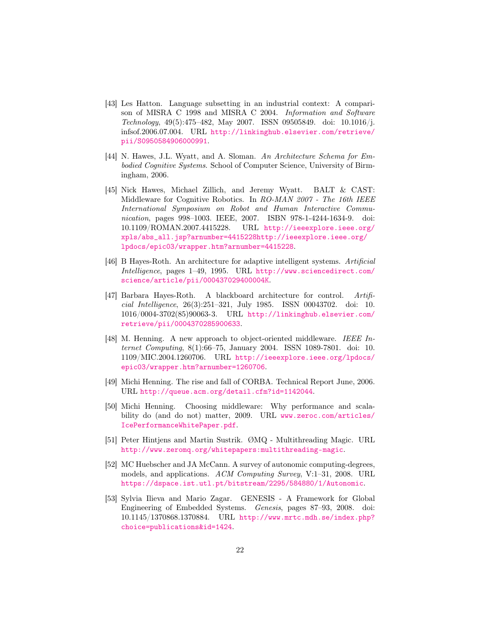- <span id="page-22-10"></span>[43] Les Hatton. Language subsetting in an industrial context: A comparison of MISRA C 1998 and MISRA C 2004. Information and Software Technology, 49(5):475–482, May 2007. ISSN 09505849. doi: 10.1016/j. infsof.2006.07.004. URL [http://linkinghub.elsevier.com/retrieve/](http://linkinghub.elsevier.com/retrieve/pii/S0950584906000991) [pii/S0950584906000991](http://linkinghub.elsevier.com/retrieve/pii/S0950584906000991).
- <span id="page-22-1"></span>[44] N. Hawes, J.L. Wyatt, and A. Sloman. An Architecture Schema for Embodied Cognitive Systems. School of Computer Science, University of Birmingham, 2006.
- <span id="page-22-5"></span>[45] Nick Hawes, Michael Zillich, and Jeremy Wyatt. BALT & CAST: Middleware for Cognitive Robotics. In RO-MAN 2007 - The 16th IEEE International Symposium on Robot and Human Interactive Communication, pages 998–1003. IEEE, 2007. ISBN 978-1-4244-1634-9. doi: 10.1109/ROMAN.2007.4415228. URL [http://ieeexplore.ieee.org/](http://ieeexplore.ieee.org/xpls/abs_all.jsp?arnumber=4415228 http://ieeexplore.ieee.org/lpdocs/epic03/wrapper.htm?arnumber=4415228) [xpls/abs\\_all.jsp?arnumber=4415228http://ieeexplore.ieee.org/](http://ieeexplore.ieee.org/xpls/abs_all.jsp?arnumber=4415228 http://ieeexplore.ieee.org/lpdocs/epic03/wrapper.htm?arnumber=4415228) [lpdocs/epic03/wrapper.htm?arnumber=4415228](http://ieeexplore.ieee.org/xpls/abs_all.jsp?arnumber=4415228 http://ieeexplore.ieee.org/lpdocs/epic03/wrapper.htm?arnumber=4415228).
- <span id="page-22-2"></span>[46] B Hayes-Roth. An architecture for adaptive intelligent systems. Artificial Intelligence, pages 1–49, 1995. URL [http://www.sciencedirect.com/](http://www.sciencedirect.com/science/article/pii/000437029400004K) [science/article/pii/000437029400004K](http://www.sciencedirect.com/science/article/pii/000437029400004K).
- <span id="page-22-0"></span>[47] Barbara Hayes-Roth. A blackboard architecture for control. Artificial Intelligence, 26(3):251–321, July 1985. ISSN 00043702. doi: 10. 1016/0004-3702(85)90063-3. URL [http://linkinghub.elsevier.com/](http://linkinghub.elsevier.com/retrieve/pii/0004370285900633) [retrieve/pii/0004370285900633](http://linkinghub.elsevier.com/retrieve/pii/0004370285900633).
- <span id="page-22-7"></span>[48] M. Henning. A new approach to object-oriented middleware. IEEE Internet Computing, 8(1):66–75, January 2004. ISSN 1089-7801. doi: 10. 1109/MIC.2004.1260706. URL [http://ieeexplore.ieee.org/lpdocs/](http://ieeexplore.ieee.org/lpdocs/epic03/wrapper.htm?arnumber=1260706) [epic03/wrapper.htm?arnumber=1260706](http://ieeexplore.ieee.org/lpdocs/epic03/wrapper.htm?arnumber=1260706).
- <span id="page-22-8"></span>[49] Michi Henning. The rise and fall of CORBA. Technical Report June, 2006. URL <http://queue.acm.org/detail.cfm?id=1142044>.
- <span id="page-22-9"></span>[50] Michi Henning. Choosing middleware: Why performance and scalability do (and do not) matter, 2009. URL [www.zeroc.com/articles/](www.zeroc.com/articles/IcePerformanceWhitePaper.pdf) [IcePerformanceWhitePaper.pdf](www.zeroc.com/articles/IcePerformanceWhitePaper.pdf).
- <span id="page-22-6"></span>[51] Peter Hintjens and Martin Sustrik. ØMQ - Multithreading Magic. URL <http://www.zeromq.org/whitepapers:multithreading-magic>.
- <span id="page-22-3"></span>[52] MC Huebscher and JA McCann. A survey of autonomic computing-degrees, models, and applications. ACM Computing Survey, V:1–31, 2008. URL <https://dspace.ist.utl.pt/bitstream/2295/584880/1/Autonomic>.
- <span id="page-22-4"></span>[53] Sylvia Ilieva and Mario Zagar. GENESIS - A Framework for Global Engineering of Embedded Systems. Genesis, pages 87–93, 2008. doi: 10.1145/1370868.1370884. URL [http://www.mrtc.mdh.se/index.php?](http://www.mrtc.mdh.se/index.php?choice=publications&id=1424) [choice=publications&id=1424](http://www.mrtc.mdh.se/index.php?choice=publications&id=1424).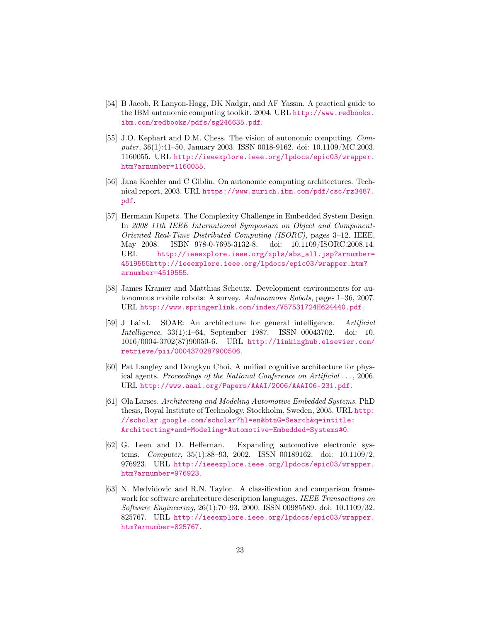- <span id="page-23-7"></span>[54] B Jacob, R Lanyon-Hogg, DK Nadgir, and AF Yassin. A practical guide to the IBM autonomic computing toolkit. 2004. URL [http://www.redbooks.](http://www.redbooks.ibm.com/redbooks/pdfs/sg246635.pdf) [ibm.com/redbooks/pdfs/sg246635.pdf](http://www.redbooks.ibm.com/redbooks/pdfs/sg246635.pdf).
- <span id="page-23-5"></span>[55] J.O. Kephart and D.M. Chess. The vision of autonomic computing. Computer, 36(1):41–50, January 2003. ISSN 0018-9162. doi: 10.1109/MC.2003. 1160055. URL [http://ieeexplore.ieee.org/lpdocs/epic03/wrapper.](http://ieeexplore.ieee.org/lpdocs/epic03/wrapper.htm?arnumber=1160055) [htm?arnumber=1160055](http://ieeexplore.ieee.org/lpdocs/epic03/wrapper.htm?arnumber=1160055).
- <span id="page-23-6"></span>[56] Jana Koehler and C Giblin. On autonomic computing architectures. Technical report, 2003. URL [https://www.zurich.ibm.com/pdf/csc/rz3487.](https://www.zurich.ibm.com/pdf/csc/rz3487.pdf) [pdf](https://www.zurich.ibm.com/pdf/csc/rz3487.pdf).
- <span id="page-23-8"></span>[57] Hermann Kopetz. The Complexity Challenge in Embedded System Design. In 2008 11th IEEE International Symposium on Object and Component-Oriented Real-Time Distributed Computing (ISORC), pages 3–12. IEEE, May 2008. ISBN 978-0-7695-3132-8. doi: 10.1109/ISORC.2008.14. URL [http://ieeexplore.ieee.org/xpls/abs\\_all.jsp?arnumber=](http://ieeexplore.ieee.org/xpls/abs_all.jsp?arnumber=4519555 http://ieeexplore.ieee.org/lpdocs/epic03/wrapper.htm?arnumber=4519555) [4519555http://ieeexplore.ieee.org/lpdocs/epic03/wrapper.htm?](http://ieeexplore.ieee.org/xpls/abs_all.jsp?arnumber=4519555 http://ieeexplore.ieee.org/lpdocs/epic03/wrapper.htm?arnumber=4519555) [arnumber=4519555](http://ieeexplore.ieee.org/xpls/abs_all.jsp?arnumber=4519555 http://ieeexplore.ieee.org/lpdocs/epic03/wrapper.htm?arnumber=4519555).
- <span id="page-23-9"></span>[58] James Kramer and Matthias Scheutz. Development environments for autonomous mobile robots: A survey. Autonomous Robots, pages 1–36, 2007. URL <http://www.springerlink.com/index/V57531724H624440.pdf>.
- <span id="page-23-3"></span>[59] J Laird. SOAR: An architecture for general intelligence. Artificial Intelligence, 33(1):1–64, September 1987. ISSN 00043702. doi: 10. 1016/0004-3702(87)90050-6. URL [http://linkinghub.elsevier.com/](http://linkinghub.elsevier.com/retrieve/pii/0004370287900506) [retrieve/pii/0004370287900506](http://linkinghub.elsevier.com/retrieve/pii/0004370287900506).
- <span id="page-23-4"></span>[60] Pat Langley and Dongkyu Choi. A unified cognitive architecture for physical agents. Proceedings of the National Conference on Artificial ..., 2006. URL <http://www.aaai.org/Papers/AAAI/2006/AAAI06-231.pdf>.
- <span id="page-23-1"></span>[61] Ola Larses. Architecting and Modeling Automotive Embedded Systems. PhD thesis, Royal Institute of Technology, Stockholm, Sweden, 2005. URL [http:](http://scholar.google.com/scholar?hl=en&btnG=Search&q=intitle:Architecting+and+Modeling+Automotive+Embedded+Systems#0) [//scholar.google.com/scholar?hl=en&btnG=Search&q=intitle:](http://scholar.google.com/scholar?hl=en&btnG=Search&q=intitle:Architecting+and+Modeling+Automotive+Embedded+Systems#0) [Architecting+and+Modeling+Automotive+Embedded+Systems#0](http://scholar.google.com/scholar?hl=en&btnG=Search&q=intitle:Architecting+and+Modeling+Automotive+Embedded+Systems#0).
- <span id="page-23-0"></span>[62] G. Leen and D. Heffernan. Expanding automotive electronic systems. Computer, 35(1):88–93, 2002. ISSN 00189162. doi: 10.1109/2. 976923. URL [http://ieeexplore.ieee.org/lpdocs/epic03/wrapper.](http://ieeexplore.ieee.org/lpdocs/epic03/wrapper.htm?arnumber=976923) [htm?arnumber=976923](http://ieeexplore.ieee.org/lpdocs/epic03/wrapper.htm?arnumber=976923).
- <span id="page-23-2"></span>[63] N. Medvidovic and R.N. Taylor. A classification and comparison framework for software architecture description languages. IEEE Transactions on Software Engineering, 26(1):70–93, 2000. ISSN 00985589. doi: 10.1109/32. 825767. URL [http://ieeexplore.ieee.org/lpdocs/epic03/wrapper.](http://ieeexplore.ieee.org/lpdocs/epic03/wrapper.htm?arnumber=825767) [htm?arnumber=825767](http://ieeexplore.ieee.org/lpdocs/epic03/wrapper.htm?arnumber=825767).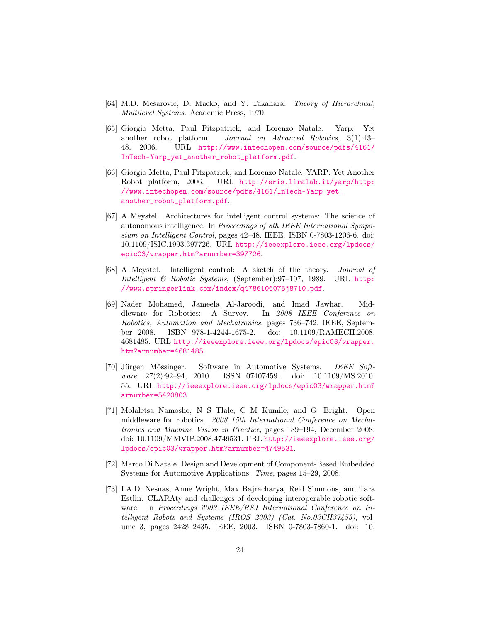- <span id="page-24-2"></span>[64] M.D. Mesarovic, D. Macko, and Y. Takahara. Theory of Hierarchical, Multilevel Systems. Academic Press, 1970.
- <span id="page-24-7"></span>[65] Giorgio Metta, Paul Fitzpatrick, and Lorenzo Natale. Yarp: Yet another robot platform. Journal on Advanced Robotics, 3(1):43– 48, 2006. URL [http://www.intechopen.com/source/pdfs/4161/](http://www.intechopen.com/source/pdfs/4161/InTech-Yarp_yet_another_robot_platform.pdf) [InTech-Yarp\\_yet\\_another\\_robot\\_platform.pdf](http://www.intechopen.com/source/pdfs/4161/InTech-Yarp_yet_another_robot_platform.pdf).
- <span id="page-24-8"></span>[66] Giorgio Metta, Paul Fitzpatrick, and Lorenzo Natale. YARP: Yet Another Robot platform, 2006. URL [http://eris.liralab.it/yarp/http:](http://eris.liralab.it/yarp/ http://www.intechopen.com/source/pdfs/4161/InTech-Yarp_yet_another_robot_platform.pdf) [//www.intechopen.com/source/pdfs/4161/InTech-Yarp\\_yet\\_](http://eris.liralab.it/yarp/ http://www.intechopen.com/source/pdfs/4161/InTech-Yarp_yet_another_robot_platform.pdf) [another\\_robot\\_platform.pdf](http://eris.liralab.it/yarp/ http://www.intechopen.com/source/pdfs/4161/InTech-Yarp_yet_another_robot_platform.pdf).
- <span id="page-24-4"></span>[67] A Meystel. Architectures for intelligent control systems: The science of autonomous intelligence. In Proceedings of 8th IEEE International Symposium on Intelligent Control, pages 42–48. IEEE. ISBN 0-7803-1206-6. doi: 10.1109/ISIC.1993.397726. URL [http://ieeexplore.ieee.org/lpdocs/](http://ieeexplore.ieee.org/lpdocs/epic03/wrapper.htm?arnumber=397726) [epic03/wrapper.htm?arnumber=397726](http://ieeexplore.ieee.org/lpdocs/epic03/wrapper.htm?arnumber=397726).
- <span id="page-24-3"></span>[68] A Meystel. Intelligent control: A sketch of the theory. Journal of Intelligent & Robotic Systems, (September):97–107, 1989. URL [http:](http://www.springerlink.com/index/q4786106075j8710.pdf) [//www.springerlink.com/index/q4786106075j8710.pdf](http://www.springerlink.com/index/q4786106075j8710.pdf).
- <span id="page-24-5"></span>[69] Nader Mohamed, Jameela Al-Jaroodi, and Imad Jawhar. Middleware for Robotics: A Survey. In 2008 IEEE Conference on Robotics, Automation and Mechatronics, pages 736–742. IEEE, September 2008. ISBN 978-1-4244-1675-2. doi: 10.1109/RAMECH.2008. 4681485. URL [http://ieeexplore.ieee.org/lpdocs/epic03/wrapper.](http://ieeexplore.ieee.org/lpdocs/epic03/wrapper.htm?arnumber=4681485) [htm?arnumber=4681485](http://ieeexplore.ieee.org/lpdocs/epic03/wrapper.htm?arnumber=4681485).
- <span id="page-24-0"></span>[70] Jürgen Mössinger. Software in Automotive Systems. IEEE Software, 27(2):92–94, 2010. ISSN 07407459. doi: 10.1109/MS.2010. 55. URL [http://ieeexplore.ieee.org/lpdocs/epic03/wrapper.htm?](http://ieeexplore.ieee.org/lpdocs/epic03/wrapper.htm?arnumber=5420803) [arnumber=5420803](http://ieeexplore.ieee.org/lpdocs/epic03/wrapper.htm?arnumber=5420803).
- <span id="page-24-6"></span>[71] Molaletsa Namoshe, N S Tlale, C M Kumile, and G. Bright. Open middleware for robotics. 2008 15th International Conference on Mechatronics and Machine Vision in Practice, pages 189–194, December 2008. doi: 10.1109/MMVIP.2008.4749531. URL [http://ieeexplore.ieee.org/](http://ieeexplore.ieee.org/lpdocs/epic03/wrapper.htm?arnumber=4749531) [lpdocs/epic03/wrapper.htm?arnumber=4749531](http://ieeexplore.ieee.org/lpdocs/epic03/wrapper.htm?arnumber=4749531).
- <span id="page-24-1"></span>[72] Marco Di Natale. Design and Development of Component-Based Embedded Systems for Automotive Applications. Time, pages 15–29, 2008.
- <span id="page-24-9"></span>[73] I.A.D. Nesnas, Anne Wright, Max Bajracharya, Reid Simmons, and Tara Estlin. CLARAty and challenges of developing interoperable robotic software. In Proceedings 2003 IEEE/RSJ International Conference on Intelligent Robots and Systems (IROS 2003) (Cat. No.03CH37453), volume 3, pages 2428–2435. IEEE, 2003. ISBN 0-7803-7860-1. doi: 10.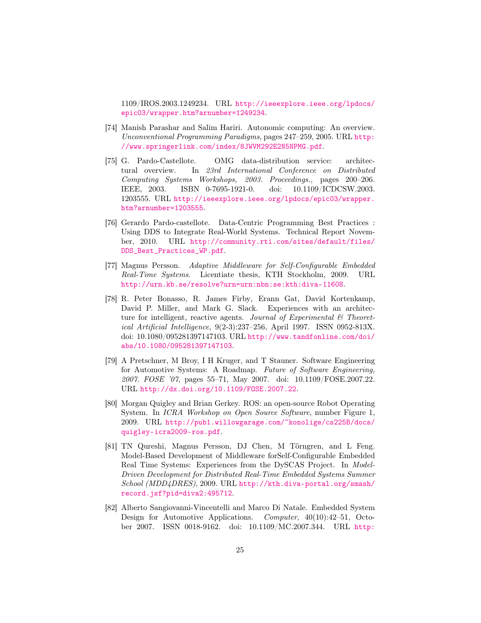1109/IROS.2003.1249234. URL [http://ieeexplore.ieee.org/lpdocs/](http://ieeexplore.ieee.org/lpdocs/epic03/wrapper.htm?arnumber=1249234) [epic03/wrapper.htm?arnumber=1249234](http://ieeexplore.ieee.org/lpdocs/epic03/wrapper.htm?arnumber=1249234).

- <span id="page-25-5"></span>[74] Manish Parashar and Salim Hariri. Autonomic computing: An overview. Unconventional Programming Paradigms, pages 247–259, 2005. URL [http:](http://www.springerlink.com/index/8JWVM292E2N5NPMG.pdf) [//www.springerlink.com/index/8JWVM292E2N5NPMG.pdf](http://www.springerlink.com/index/8JWVM292E2N5NPMG.pdf).
- <span id="page-25-7"></span>[75] G. Pardo-Castellote. OMG data-distribution service: architectural overview. In 23rd International Conference on Distributed Computing Systems Workshops, 2003. Proceedings., pages 200–206. IEEE, 2003. ISBN 0-7695-1921-0. doi: 10.1109/ICDCSW.2003. 1203555. URL [http://ieeexplore.ieee.org/lpdocs/epic03/wrapper.](http://ieeexplore.ieee.org/lpdocs/epic03/wrapper.htm?arnumber=1203555) [htm?arnumber=1203555](http://ieeexplore.ieee.org/lpdocs/epic03/wrapper.htm?arnumber=1203555).
- <span id="page-25-8"></span>[76] Gerardo Pardo-castellote. Data-Centric Programming Best Practices : Using DDS to Integrate Real-World Systems. Technical Report November, 2010. URL [http://community.rti.com/sites/default/files/](http://community.rti.com/sites/default/files/DDS_Best_Practices_WP.pdf) [DDS\\_Best\\_Practices\\_WP.pdf](http://community.rti.com/sites/default/files/DDS_Best_Practices_WP.pdf).
- <span id="page-25-3"></span>[77] Magnus Persson. Adaptive Middleware for Self-Configurable Embedded Real-Time Systems. Licentiate thesis, KTH Stockholm, 2009. URL <http://urn.kb.se/resolve?urn=urn:nbn:se:kth:diva-11608>.
- <span id="page-25-4"></span>[78] R. Peter Bonasso, R. James Firby, Erann Gat, David Kortenkamp, David P. Miller, and Mark G. Slack. Experiences with an architecture for intelligent, reactive agents. Journal of Experimental  $\mathcal{B}$  Theoretical Artificial Intelligence, 9(2-3):237–256, April 1997. ISSN 0952-813X. doi: 10.1080/095281397147103. URL [http://www.tandfonline.com/doi/](http://www.tandfonline.com/doi/abs/10.1080/095281397147103) [abs/10.1080/095281397147103](http://www.tandfonline.com/doi/abs/10.1080/095281397147103).
- <span id="page-25-0"></span>[79] A Pretschner, M Broy, I H Kruger, and T Stauner. Software Engineering for Automotive Systems: A Roadmap. Future of Software Engineering, 2007. FOSE '07, pages 55–71, May 2007. doi: 10.1109/FOSE.2007.22. URL <http://dx.doi.org/10.1109/FOSE.2007.22>.
- <span id="page-25-6"></span>[80] Morgan Quigley and Brian Gerkey. ROS: an open-source Robot Operating System. In ICRA Workshop on Open Source Software, number Figure 1, 2009. URL [http://pub1.willowgarage.com/~konolige/cs225B/docs/](http://pub1.willowgarage.com/~konolige/cs225B/docs/quigley-icra2009-ros.pdf) [quigley-icra2009-ros.pdf](http://pub1.willowgarage.com/~konolige/cs225B/docs/quigley-icra2009-ros.pdf).
- <span id="page-25-2"></span>[81] TN Qureshi, Magnus Persson, DJ Chen, M Törngren, and L Feng. Model-Based Development of Middleware forSelf-Configurable Embedded Real Time Systems: Experiences from the DySCAS Project. In Model-Driven Development for Distributed Real-Time Embedded Systems Summer School (MDD4DRES), 2009. URL [http://kth.diva-portal.org/smash/](http://kth.diva-portal.org/smash/record.jsf?pid=diva2:495712) [record.jsf?pid=diva2:495712](http://kth.diva-portal.org/smash/record.jsf?pid=diva2:495712).
- <span id="page-25-1"></span>[82] Alberto Sangiovanni-Vincentelli and Marco Di Natale. Embedded System Design for Automotive Applications. Computer, 40(10):42–51, October 2007. ISSN 0018-9162. doi: 10.1109/MC.2007.344. URL [http:](http://ieeexplore.ieee.org/xpls/abs_all.jsp?arnumber=4343688 http://ieeexplore.ieee.org/lpdocs/epic03/wrapper.htm?arnumber=4343688)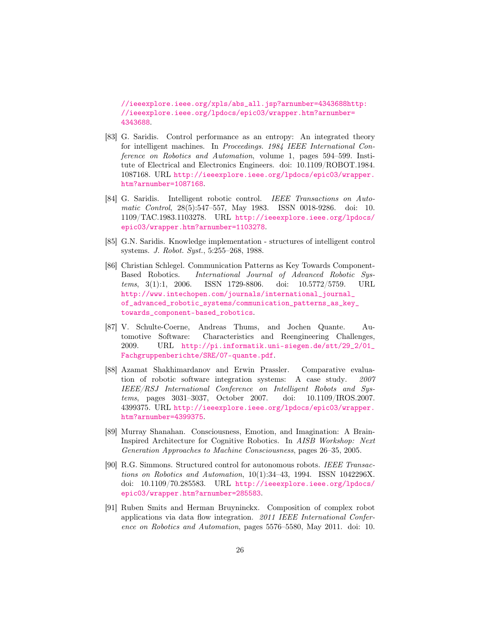[//ieeexplore.ieee.org/xpls/abs\\_all.jsp?arnumber=4343688http:](http://ieeexplore.ieee.org/xpls/abs_all.jsp?arnumber=4343688 http://ieeexplore.ieee.org/lpdocs/epic03/wrapper.htm?arnumber=4343688) [//ieeexplore.ieee.org/lpdocs/epic03/wrapper.htm?arnumber=](http://ieeexplore.ieee.org/xpls/abs_all.jsp?arnumber=4343688 http://ieeexplore.ieee.org/lpdocs/epic03/wrapper.htm?arnumber=4343688) [4343688](http://ieeexplore.ieee.org/xpls/abs_all.jsp?arnumber=4343688 http://ieeexplore.ieee.org/lpdocs/epic03/wrapper.htm?arnumber=4343688).

- <span id="page-26-2"></span>[83] G. Saridis. Control performance as an entropy: An integrated theory for intelligent machines. In Proceedings. 1984 IEEE International Conference on Robotics and Automation, volume 1, pages 594–599. Institute of Electrical and Electronics Engineers. doi: 10.1109/ROBOT.1984. 1087168. URL [http://ieeexplore.ieee.org/lpdocs/epic03/wrapper.](http://ieeexplore.ieee.org/lpdocs/epic03/wrapper.htm?arnumber=1087168) [htm?arnumber=1087168](http://ieeexplore.ieee.org/lpdocs/epic03/wrapper.htm?arnumber=1087168).
- <span id="page-26-3"></span>[84] G. Saridis. Intelligent robotic control. IEEE Transactions on Automatic Control, 28(5):547–557, May 1983. ISSN 0018-9286. doi: 10. 1109/TAC.1983.1103278. URL [http://ieeexplore.ieee.org/lpdocs/](http://ieeexplore.ieee.org/lpdocs/epic03/wrapper.htm?arnumber=1103278) [epic03/wrapper.htm?arnumber=1103278](http://ieeexplore.ieee.org/lpdocs/epic03/wrapper.htm?arnumber=1103278).
- <span id="page-26-1"></span>[85] G.N. Saridis. Knowledge implementation - structures of intelligent control systems. J. Robot. Syst., 5:255–268, 1988.
- <span id="page-26-8"></span>[86] Christian Schlegel. Communication Patterns as Key Towards Component-Based Robotics. International Journal of Advanced Robotic Systems, 3(1):1, 2006. ISSN 1729-8806. doi: 10.5772/5759. URL [http://www.intechopen.com/journals/international\\_journal\\_](http://www.intechopen.com/journals/international_journal_of_advanced_robotic_systems/communication_patterns_as_key_towards_component-based_robotics) [of\\_advanced\\_robotic\\_systems/communication\\_patterns\\_as\\_key\\_](http://www.intechopen.com/journals/international_journal_of_advanced_robotic_systems/communication_patterns_as_key_towards_component-based_robotics) [towards\\_component-based\\_robotics](http://www.intechopen.com/journals/international_journal_of_advanced_robotic_systems/communication_patterns_as_key_towards_component-based_robotics).
- <span id="page-26-0"></span>[87] V. Schulte-Coerne, Andreas Thums, and Jochen Quante. Automotive Software: Characteristics and Reengineering Challenges, 2009. URL [http://pi.informatik.uni-siegen.de/stt/29\\_2/01\\_](http://pi.informatik.uni-siegen.de/stt/29_2/01_Fachgruppenberichte/SRE/07-quante.pdf) [Fachgruppenberichte/SRE/07-quante.pdf](http://pi.informatik.uni-siegen.de/stt/29_2/01_Fachgruppenberichte/SRE/07-quante.pdf).
- <span id="page-26-6"></span>[88] Azamat Shakhimardanov and Erwin Prassler. Comparative evaluation of robotic software integration systems: A case study. 2007 IEEE/RSJ International Conference on Intelligent Robots and Systems, pages 3031–3037, October 2007. doi: 10.1109/IROS.2007. 4399375. URL [http://ieeexplore.ieee.org/lpdocs/epic03/wrapper.](http://ieeexplore.ieee.org/lpdocs/epic03/wrapper.htm?arnumber=4399375) [htm?arnumber=4399375](http://ieeexplore.ieee.org/lpdocs/epic03/wrapper.htm?arnumber=4399375).
- <span id="page-26-4"></span>[89] Murray Shanahan. Consciousness, Emotion, and Imagination: A Brain-Inspired Architecture for Cognitive Robotics. In AISB Workshop: Next Generation Approaches to Machine Consciousness, pages 26–35, 2005.
- <span id="page-26-5"></span>[90] R.G. Simmons. Structured control for autonomous robots. IEEE Transactions on Robotics and Automation, 10(1):34–43, 1994. ISSN 1042296X. doi: 10.1109/70.285583. URL [http://ieeexplore.ieee.org/lpdocs/](http://ieeexplore.ieee.org/lpdocs/epic03/wrapper.htm?arnumber=285583) [epic03/wrapper.htm?arnumber=285583](http://ieeexplore.ieee.org/lpdocs/epic03/wrapper.htm?arnumber=285583).
- <span id="page-26-7"></span>[91] Ruben Smits and Herman Bruyninckx. Composition of complex robot applications via data flow integration. 2011 IEEE International Conference on Robotics and Automation, pages 5576–5580, May 2011. doi: 10.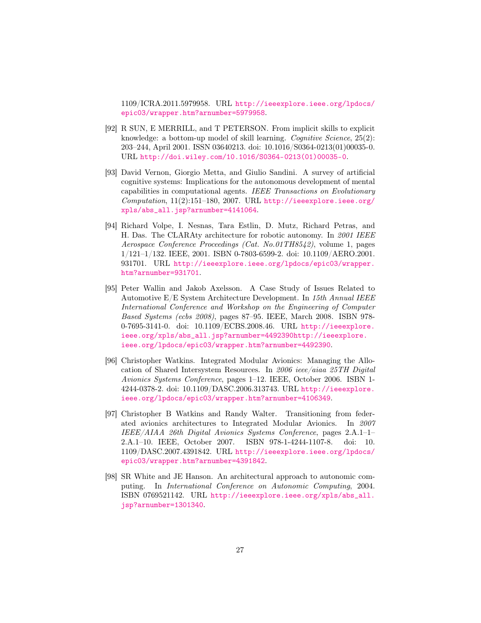1109/ICRA.2011.5979958. URL [http://ieeexplore.ieee.org/lpdocs/](http://ieeexplore.ieee.org/lpdocs/epic03/wrapper.htm?arnumber=5979958) [epic03/wrapper.htm?arnumber=5979958](http://ieeexplore.ieee.org/lpdocs/epic03/wrapper.htm?arnumber=5979958).

- <span id="page-27-4"></span>[92] R SUN, E MERRILL, and T PETERSON. From implicit skills to explicit knowledge: a bottom-up model of skill learning. Cognitive Science, 25(2): 203–244, April 2001. ISSN 03640213. doi: 10.1016/S0364-0213(01)00035-0. URL [http://doi.wiley.com/10.1016/S0364-0213\(01\)00035-0](http://doi.wiley.com/10.1016/S0364-0213(01)00035-0).
- <span id="page-27-3"></span>[93] David Vernon, Giorgio Metta, and Giulio Sandini. A survey of artificial cognitive systems: Implications for the autonomous development of mental capabilities in computational agents. IEEE Transactions on Evolutionary  $Computation, 11(2):151-180, 2007. \text{ URL http://ieeexplore.ieee.org/}$  $Computation, 11(2):151-180, 2007. \text{ URL http://ieeexplore.ieee.org/}$  $Computation, 11(2):151-180, 2007. \text{ URL http://ieeexplore.ieee.org/}$ [xpls/abs\\_all.jsp?arnumber=4141064](http://ieeexplore.ieee.org/xpls/abs_all.jsp?arnumber=4141064).
- <span id="page-27-6"></span>[94] Richard Volpe, I. Nesnas, Tara Estlin, D. Mutz, Richard Petras, and H. Das. The CLARAty architecture for robotic autonomy. In 2001 IEEE Aerospace Conference Proceedings (Cat. No.01TH8542), volume 1, pages 1/121–1/132. IEEE, 2001. ISBN 0-7803-6599-2. doi: 10.1109/AERO.2001. 931701. URL [http://ieeexplore.ieee.org/lpdocs/epic03/wrapper.](http://ieeexplore.ieee.org/lpdocs/epic03/wrapper.htm?arnumber=931701) [htm?arnumber=931701](http://ieeexplore.ieee.org/lpdocs/epic03/wrapper.htm?arnumber=931701).
- <span id="page-27-0"></span>[95] Peter Wallin and Jakob Axelsson. A Case Study of Issues Related to Automotive E/E System Architecture Development. In 15th Annual IEEE International Conference and Workshop on the Engineering of Computer Based Systems (ecbs 2008), pages 87–95. IEEE, March 2008. ISBN 978- 0-7695-3141-0. doi: 10.1109/ECBS.2008.46. URL [http://ieeexplore.](http://ieeexplore.ieee.org/xpls/abs_all.jsp?arnumber=4492390 http://ieeexplore.ieee.org/lpdocs/epic03/wrapper.htm?arnumber=4492390) [ieee.org/xpls/abs\\_all.jsp?arnumber=4492390http://ieeexplore.](http://ieeexplore.ieee.org/xpls/abs_all.jsp?arnumber=4492390 http://ieeexplore.ieee.org/lpdocs/epic03/wrapper.htm?arnumber=4492390) [ieee.org/lpdocs/epic03/wrapper.htm?arnumber=4492390](http://ieeexplore.ieee.org/xpls/abs_all.jsp?arnumber=4492390 http://ieeexplore.ieee.org/lpdocs/epic03/wrapper.htm?arnumber=4492390).
- <span id="page-27-1"></span>[96] Christopher Watkins. Integrated Modular Avionics: Managing the Allocation of Shared Intersystem Resources. In 2006 ieee/aiaa 25TH Digital Avionics Systems Conference, pages 1–12. IEEE, October 2006. ISBN 1- 4244-0378-2. doi: 10.1109/DASC.2006.313743. URL [http://ieeexplore.](http://ieeexplore.ieee.org/lpdocs/epic03/wrapper.htm?arnumber=4106349) [ieee.org/lpdocs/epic03/wrapper.htm?arnumber=4106349](http://ieeexplore.ieee.org/lpdocs/epic03/wrapper.htm?arnumber=4106349).
- <span id="page-27-2"></span>[97] Christopher B Watkins and Randy Walter. Transitioning from federated avionics architectures to Integrated Modular Avionics. In 2007 IEEE/AIAA 26th Digital Avionics Systems Conference, pages 2.A.1–1– 2.A.1–10. IEEE, October 2007. ISBN 978-1-4244-1107-8. doi: 10. 1109/DASC.2007.4391842. URL [http://ieeexplore.ieee.org/lpdocs/](http://ieeexplore.ieee.org/lpdocs/epic03/wrapper.htm?arnumber=4391842) [epic03/wrapper.htm?arnumber=4391842](http://ieeexplore.ieee.org/lpdocs/epic03/wrapper.htm?arnumber=4391842).
- <span id="page-27-5"></span>[98] SR White and JE Hanson. An architectural approach to autonomic computing. In International Conference on Autonomic Computing, 2004. ISBN 0769521142. URL [http://ieeexplore.ieee.org/xpls/abs\\_all.](http://ieeexplore.ieee.org/xpls/abs_all.jsp?arnumber=1301340) [jsp?arnumber=1301340](http://ieeexplore.ieee.org/xpls/abs_all.jsp?arnumber=1301340).